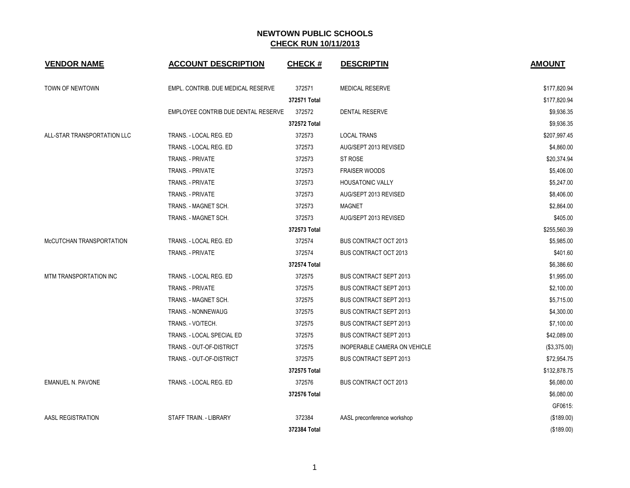| <b>VENDOR NAME</b>          | <b>ACCOUNT DESCRIPTION</b>          | <b>CHECK#</b> | <b>DESCRIPTIN</b>             | <b>AMOUNT</b> |
|-----------------------------|-------------------------------------|---------------|-------------------------------|---------------|
| TOWN OF NEWTOWN             | EMPL. CONTRIB. DUE MEDICAL RESERVE  | 372571        | <b>MEDICAL RESERVE</b>        | \$177,820.94  |
|                             |                                     | 372571 Total  |                               | \$177,820.94  |
|                             | EMPLOYEE CONTRIB DUE DENTAL RESERVE | 372572        | <b>DENTAL RESERVE</b>         | \$9,936.35    |
|                             |                                     | 372572 Total  |                               | \$9,936.35    |
| ALL-STAR TRANSPORTATION LLC | TRANS. - LOCAL REG. ED              | 372573        | <b>LOCAL TRANS</b>            | \$207,997.45  |
|                             | TRANS. - LOCAL REG. ED              | 372573        | AUG/SEPT 2013 REVISED         | \$4,860.00    |
|                             | <b>TRANS. - PRIVATE</b>             | 372573        | ST ROSE                       | \$20,374.94   |
|                             | TRANS. - PRIVATE                    | 372573        | <b>FRAISER WOODS</b>          | \$5,406.00    |
|                             | TRANS. - PRIVATE                    | 372573        | <b>HOUSATONIC VALLY</b>       | \$5,247.00    |
|                             | TRANS. - PRIVATE                    | 372573        | AUG/SEPT 2013 REVISED         | \$8,406.00    |
|                             | TRANS. - MAGNET SCH.                | 372573        | <b>MAGNET</b>                 | \$2,864.00    |
|                             | TRANS. - MAGNET SCH.                | 372573        | AUG/SEPT 2013 REVISED         | \$405.00      |
|                             |                                     | 372573 Total  |                               | \$255,560.39  |
| McCUTCHAN TRANSPORTATION    | TRANS. - LOCAL REG. ED              | 372574        | <b>BUS CONTRACT OCT 2013</b>  | \$5,985.00    |
|                             | TRANS. - PRIVATE                    | 372574        | <b>BUS CONTRACT OCT 2013</b>  | \$401.60      |
|                             |                                     | 372574 Total  |                               | \$6,386.60    |
| MTM TRANSPORTATION INC      | TRANS. - LOCAL REG. ED              | 372575        | <b>BUS CONTRACT SEPT 2013</b> | \$1,995.00    |
|                             | TRANS. - PRIVATE                    | 372575        | <b>BUS CONTRACT SEPT 2013</b> | \$2,100.00    |
|                             | TRANS. - MAGNET SCH.                | 372575        | <b>BUS CONTRACT SEPT 2013</b> | \$5,715.00    |
|                             | TRANS. - NONNEWAUG                  | 372575        | <b>BUS CONTRACT SEPT 2013</b> | \$4,300.00    |
|                             | TRANS. - VO/TECH.                   | 372575        | <b>BUS CONTRACT SEPT 2013</b> | \$7,100.00    |
|                             | TRANS. - LOCAL SPECIAL ED           | 372575        | <b>BUS CONTRACT SEPT 2013</b> | \$42,089.00   |
|                             | TRANS. - OUT-OF-DISTRICT            | 372575        | INOPERABLE CAMERA ON VEHICLE  | (\$3,375.00)  |
|                             | TRANS. - OUT-OF-DISTRICT            | 372575        | <b>BUS CONTRACT SEPT 2013</b> | \$72,954.75   |
|                             |                                     | 372575 Total  |                               | \$132,878.75  |
| <b>EMANUEL N. PAVONE</b>    | TRANS. - LOCAL REG. ED              | 372576        | <b>BUS CONTRACT OCT 2013</b>  | \$6.080.00    |
|                             |                                     | 372576 Total  |                               | \$6,080.00    |
|                             |                                     |               |                               | GF0615:       |
| AASL REGISTRATION           | STAFF TRAIN. - LIBRARY              | 372384        | AASL preconference workshop   | (\$189.00)    |
|                             |                                     | 372384 Total  |                               | (\$189.00)    |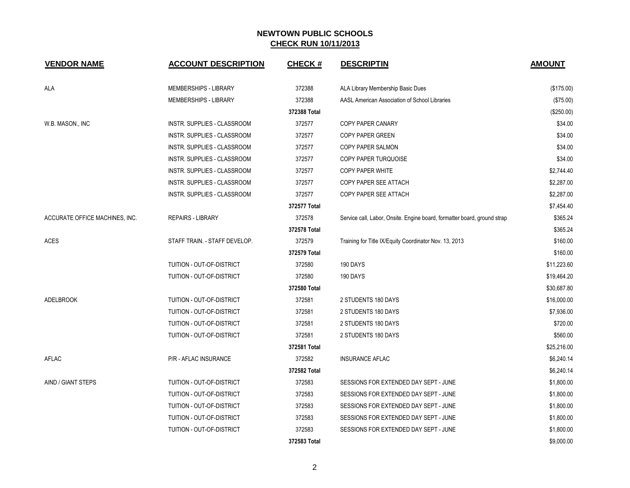| <b>VENDOR NAME</b>             | <b>ACCOUNT DESCRIPTION</b>         | CHECK #      | <b>DESCRIPTIN</b>                                                        | <b>AMOUNT</b> |
|--------------------------------|------------------------------------|--------------|--------------------------------------------------------------------------|---------------|
| ALA                            | MEMBERSHIPS - LIBRARY              | 372388       | ALA Library Membership Basic Dues                                        | (\$175.00)    |
|                                | MEMBERSHIPS - LIBRARY              | 372388       | AASL American Association of School Libraries                            | (\$75.00)     |
|                                |                                    | 372388 Total |                                                                          | (\$250.00)    |
| W.B. MASON., INC               | INSTR. SUPPLIES - CLASSROOM        | 372577       | COPY PAPER CANARY                                                        | \$34.00       |
|                                | <b>INSTR. SUPPLIES - CLASSROOM</b> | 372577       | <b>COPY PAPER GREEN</b>                                                  | \$34.00       |
|                                | INSTR. SUPPLIES - CLASSROOM        | 372577       | COPY PAPER SALMON                                                        | \$34.00       |
|                                | INSTR. SUPPLIES - CLASSROOM        | 372577       | COPY PAPER TURQUOISE                                                     | \$34.00       |
|                                | INSTR. SUPPLIES - CLASSROOM        | 372577       | COPY PAPER WHITE                                                         | \$2,744.40    |
|                                | INSTR. SUPPLIES - CLASSROOM        | 372577       | COPY PAPER SEE ATTACH                                                    | \$2,287.00    |
|                                | INSTR. SUPPLIES - CLASSROOM        | 372577       | COPY PAPER SEE ATTACH                                                    | \$2,287.00    |
|                                |                                    | 372577 Total |                                                                          | \$7,454.40    |
| ACCURATE OFFICE MACHINES, INC. | <b>REPAIRS - LIBRARY</b>           | 372578       | Service call, Labor, Onsite. Engine board, formatter board, ground strap | \$365.24      |
|                                |                                    | 372578 Total |                                                                          | \$365.24      |
| <b>ACES</b>                    | STAFF TRAIN. - STAFF DEVELOP.      | 372579       | Training for Title IX/Equity Coordinator Nov. 13, 2013                   | \$160.00      |
|                                |                                    | 372579 Total |                                                                          | \$160.00      |
|                                | TUITION - OUT-OF-DISTRICT          | 372580       | 190 DAYS                                                                 | \$11,223.60   |
|                                | TUITION - OUT-OF-DISTRICT          | 372580       | 190 DAYS                                                                 | \$19,464.20   |
|                                |                                    | 372580 Total |                                                                          | \$30,687.80   |
| <b>ADELBROOK</b>               | TUITION - OUT-OF-DISTRICT          | 372581       | 2 STUDENTS 180 DAYS                                                      | \$16,000.00   |
|                                | <b>TUITION - OUT-OF-DISTRICT</b>   | 372581       | 2 STUDENTS 180 DAYS                                                      | \$7,936.00    |
|                                | TUITION - OUT-OF-DISTRICT          | 372581       | 2 STUDENTS 180 DAYS                                                      | \$720.00      |
|                                | TUITION - OUT-OF-DISTRICT          | 372581       | 2 STUDENTS 180 DAYS                                                      | \$560.00      |
|                                |                                    | 372581 Total |                                                                          | \$25,216.00   |
| AFLAC                          | P/R - AFLAC INSURANCE              | 372582       | <b>INSURANCE AFLAC</b>                                                   | \$6,240.14    |
|                                |                                    | 372582 Total |                                                                          | \$6,240.14    |
| AIND / GIANT STEPS             | TUITION - OUT-OF-DISTRICT          | 372583       | SESSIONS FOR EXTENDED DAY SEPT - JUNE                                    | \$1,800.00    |
|                                | TUITION - OUT-OF-DISTRICT          | 372583       | SESSIONS FOR EXTENDED DAY SEPT - JUNE                                    | \$1,800.00    |
|                                | TUITION - OUT-OF-DISTRICT          | 372583       | SESSIONS FOR EXTENDED DAY SEPT - JUNE                                    | \$1,800.00    |
|                                | TUITION - OUT-OF-DISTRICT          | 372583       | SESSIONS FOR EXTENDED DAY SEPT - JUNE                                    | \$1,800.00    |
|                                | TUITION - OUT-OF-DISTRICT          | 372583       | SESSIONS FOR EXTENDED DAY SEPT - JUNE                                    | \$1,800.00    |
|                                |                                    | 372583 Total |                                                                          | \$9,000.00    |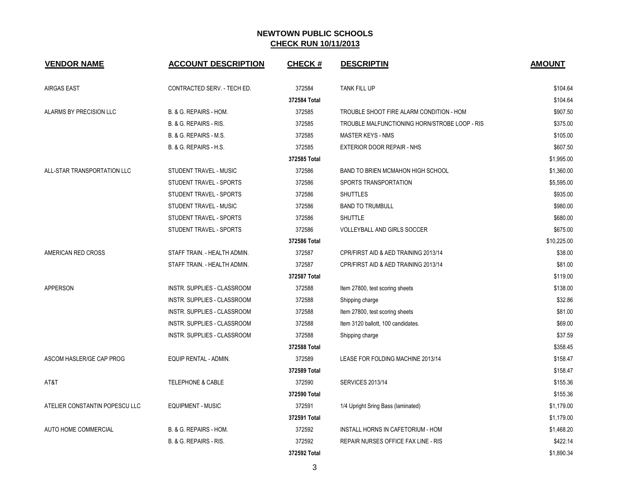| <b>VENDOR NAME</b>             | <b>ACCOUNT DESCRIPTION</b>   | <b>CHECK#</b> | <b>DESCRIPTIN</b>                             | <b>AMOUNT</b> |
|--------------------------------|------------------------------|---------------|-----------------------------------------------|---------------|
| <b>AIRGAS EAST</b>             | CONTRACTED SERV. - TECH ED.  | 372584        | TANK FILL UP                                  | \$104.64      |
|                                |                              | 372584 Total  |                                               | \$104.64      |
| ALARMS BY PRECISION LLC        | B. & G. REPAIRS - HOM.       | 372585        | TROUBLE SHOOT FIRE ALARM CONDITION - HOM      | \$907.50      |
|                                | B. & G. REPAIRS - RIS.       | 372585        | TROUBLE MALFUNCTIONING HORN/STROBE LOOP - RIS | \$375.00      |
|                                | B. & G. REPAIRS - M.S.       | 372585        | <b>MASTER KEYS - NMS</b>                      | \$105.00      |
|                                | B. & G. REPAIRS - H.S.       | 372585        | EXTERIOR DOOR REPAIR - NHS                    | \$607.50      |
|                                |                              | 372585 Total  |                                               | \$1,995.00    |
| ALL-STAR TRANSPORTATION LLC    | STUDENT TRAVEL - MUSIC       | 372586        | BAND TO BRIEN MCMAHON HIGH SCHOOL             | \$1,360.00    |
|                                | STUDENT TRAVEL - SPORTS      | 372586        | SPORTS TRANSPORTATION                         | \$5,595.00    |
|                                | STUDENT TRAVEL - SPORTS      | 372586        | <b>SHUTTLES</b>                               | \$935.00      |
|                                | STUDENT TRAVEL - MUSIC       | 372586        | <b>BAND TO TRUMBULL</b>                       | \$980.00      |
|                                | STUDENT TRAVEL - SPORTS      | 372586        | <b>SHUTTLE</b>                                | \$680.00      |
|                                | STUDENT TRAVEL - SPORTS      | 372586        | VOLLEYBALL AND GIRLS SOCCER                   | \$675.00      |
|                                |                              | 372586 Total  |                                               | \$10,225.00   |
| AMERICAN RED CROSS             | STAFF TRAIN. - HEALTH ADMIN. | 372587        | CPR/FIRST AID & AED TRAINING 2013/14          | \$38.00       |
|                                | STAFF TRAIN. - HEALTH ADMIN. | 372587        | CPR/FIRST AID & AED TRAINING 2013/14          | \$81.00       |
|                                |                              | 372587 Total  |                                               | \$119.00      |
| APPERSON                       | INSTR. SUPPLIES - CLASSROOM  | 372588        | Item 27800, test scoring sheets               | \$138.00      |
|                                | INSTR. SUPPLIES - CLASSROOM  | 372588        | Shipping charge                               | \$32.86       |
|                                | INSTR. SUPPLIES - CLASSROOM  | 372588        | Item 27800, test scoring sheets               | \$81.00       |
|                                | INSTR. SUPPLIES - CLASSROOM  | 372588        | Item 3120 ballott, 100 candidates.            | \$69.00       |
|                                | INSTR. SUPPLIES - CLASSROOM  | 372588        | Shipping charge                               | \$37.59       |
|                                |                              | 372588 Total  |                                               | \$358.45      |
| ASCOM HASLER/GE CAP PROG       | EQUIP RENTAL - ADMIN.        | 372589        | LEASE FOR FOLDING MACHINE 2013/14             | \$158.47      |
|                                |                              | 372589 Total  |                                               | \$158.47      |
| AT&T                           | <b>TELEPHONE &amp; CABLE</b> | 372590        | <b>SERVICES 2013/14</b>                       | \$155.36      |
|                                |                              | 372590 Total  |                                               | \$155.36      |
| ATELIER CONSTANTIN POPESCU LLC | <b>EQUIPMENT - MUSIC</b>     | 372591        | 1/4 Upright Sring Bass (laminated)            | \$1,179.00    |
|                                |                              | 372591 Total  |                                               | \$1,179.00    |
| AUTO HOME COMMERCIAL           | B. & G. REPAIRS - HOM.       | 372592        | INSTALL HORNS IN CAFETORIUM - HOM             | \$1,468.20    |
|                                | B. & G. REPAIRS - RIS.       | 372592        | REPAIR NURSES OFFICE FAX LINE - RIS           | \$422.14      |
|                                |                              | 372592 Total  |                                               | \$1,890.34    |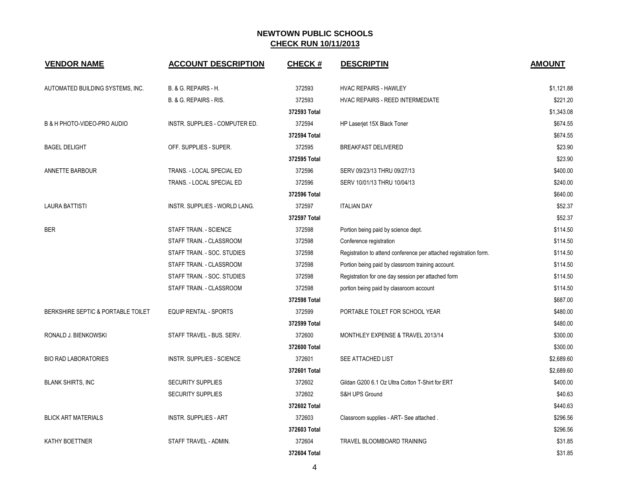| <b>VENDOR NAME</b>                 | <b>ACCOUNT DESCRIPTION</b>     | <b>CHECK#</b> | <b>DESCRIPTIN</b>                                                 | <b>AMOUNT</b> |
|------------------------------------|--------------------------------|---------------|-------------------------------------------------------------------|---------------|
| AUTOMATED BUILDING SYSTEMS, INC.   | B. & G. REPAIRS - H.           | 372593        | <b>HVAC REPAIRS - HAWLEY</b>                                      | \$1,121.88    |
|                                    | B. & G. REPAIRS - RIS.         | 372593        | HVAC REPAIRS - REED INTERMEDIATE                                  | \$221.20      |
|                                    |                                | 372593 Total  |                                                                   | \$1,343.08    |
| B & H PHOTO-VIDEO-PRO AUDIO        | INSTR. SUPPLIES - COMPUTER ED. | 372594        | HP Laserjet 15X Black Toner                                       | \$674.55      |
|                                    |                                | 372594 Total  |                                                                   | \$674.55      |
| <b>BAGEL DELIGHT</b>               | OFF. SUPPLIES - SUPER.         | 372595        | <b>BREAKFAST DELIVERED</b>                                        | \$23.90       |
|                                    |                                | 372595 Total  |                                                                   | \$23.90       |
| ANNETTE BARBOUR                    | TRANS. - LOCAL SPECIAL ED      | 372596        | SERV 09/23/13 THRU 09/27/13                                       | \$400.00      |
|                                    | TRANS. - LOCAL SPECIAL ED      | 372596        | SERV 10/01/13 THRU 10/04/13                                       | \$240.00      |
|                                    |                                | 372596 Total  |                                                                   | \$640.00      |
| <b>LAURA BATTISTI</b>              | INSTR. SUPPLIES - WORLD LANG.  | 372597        | <b>ITALIAN DAY</b>                                                | \$52.37       |
|                                    |                                | 372597 Total  |                                                                   | \$52.37       |
| <b>BER</b>                         | STAFF TRAIN. - SCIENCE         | 372598        | Portion being paid by science dept.                               | \$114.50      |
|                                    | STAFF TRAIN. - CLASSROOM       | 372598        | Conference registration                                           | \$114.50      |
|                                    | STAFF TRAIN. - SOC. STUDIES    | 372598        | Registration to attend conference per attached registration form. | \$114.50      |
|                                    | STAFF TRAIN. - CLASSROOM       | 372598        | Portion being paid by classroom training account.                 | \$114.50      |
|                                    | STAFF TRAIN. - SOC. STUDIES    | 372598        | Registration for one day session per attached form                | \$114.50      |
|                                    | STAFF TRAIN. - CLASSROOM       | 372598        | portion being paid by classroom account                           | \$114.50      |
|                                    |                                | 372598 Total  |                                                                   | \$687.00      |
| BERKSHIRE SEPTIC & PORTABLE TOILET | <b>EQUIP RENTAL - SPORTS</b>   | 372599        | PORTABLE TOILET FOR SCHOOL YEAR                                   | \$480.00      |
|                                    |                                | 372599 Total  |                                                                   | \$480.00      |
| RONALD J. BIENKOWSKI               | STAFF TRAVEL - BUS. SERV.      | 372600        | MONTHLEY EXPENSE & TRAVEL 2013/14                                 | \$300.00      |
|                                    |                                | 372600 Total  |                                                                   | \$300.00      |
| <b>BIO RAD LABORATORIES</b>        | INSTR. SUPPLIES - SCIENCE      | 372601        | SEE ATTACHED LIST                                                 | \$2,689.60    |
|                                    |                                | 372601 Total  |                                                                   | \$2,689.60    |
| <b>BLANK SHIRTS, INC</b>           | <b>SECURITY SUPPLIES</b>       | 372602        | Gildan G200 6.1 Oz Ultra Cotton T-Shirt for ERT                   | \$400.00      |
|                                    | <b>SECURITY SUPPLIES</b>       | 372602        | S&H UPS Ground                                                    | \$40.63       |
|                                    |                                | 372602 Total  |                                                                   | \$440.63      |
| <b>BLICK ART MATERIALS</b>         | <b>INSTR. SUPPLIES - ART</b>   | 372603        | Classroom supplies - ART- See attached.                           | \$296.56      |
|                                    |                                | 372603 Total  |                                                                   | \$296.56      |
| KATHY BOETTNER                     | STAFF TRAVEL - ADMIN.          | 372604        | TRAVEL BLOOMBOARD TRAINING                                        | \$31.85       |
|                                    |                                | 372604 Total  |                                                                   | \$31.85       |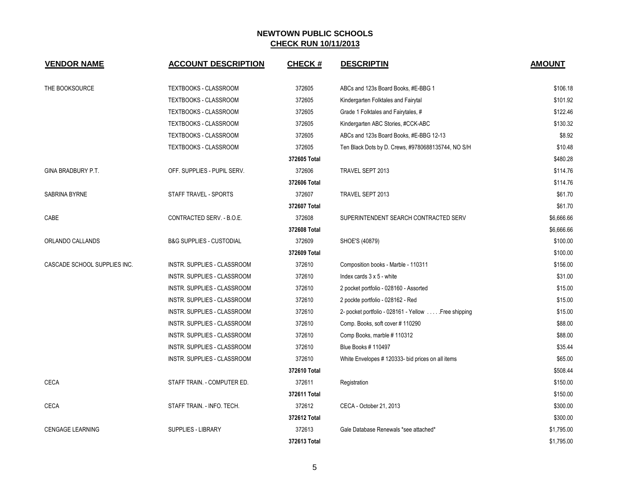| <b>VENDOR NAME</b>           | <b>ACCOUNT DESCRIPTION</b>          | <b>CHECK#</b> | <b>DESCRIPTIN</b>                                    | <b>AMOUNT</b> |
|------------------------------|-------------------------------------|---------------|------------------------------------------------------|---------------|
| THE BOOKSOURCE               | TEXTBOOKS - CLASSROOM               | 372605        | ABCs and 123s Board Books, #E-BBG 1                  | \$106.18      |
|                              | TEXTBOOKS - CLASSROOM               | 372605        | Kindergarten Folktales and Fairytal                  | \$101.92      |
|                              | TEXTBOOKS - CLASSROOM               | 372605        | Grade 1 Folktales and Fairytales, #                  | \$122.46      |
|                              | TEXTBOOKS - CLASSROOM               | 372605        | Kindergarten ABC Stories, #CCK-ABC                   | \$130.32      |
|                              | TEXTBOOKS - CLASSROOM               | 372605        | ABCs and 123s Board Books, #E-BBG 12-13              | \$8.92        |
|                              | TEXTBOOKS - CLASSROOM               | 372605        | Ten Black Dots by D. Crews, #9780688135744, NO S/H   | \$10.48       |
|                              |                                     | 372605 Total  |                                                      | \$480.28      |
| GINA BRADBURY P.T.           | OFF. SUPPLIES - PUPIL SERV.         | 372606        | TRAVEL SEPT 2013                                     | \$114.76      |
|                              |                                     | 372606 Total  |                                                      | \$114.76      |
| SABRINA BYRNE                | STAFF TRAVEL - SPORTS               | 372607        | TRAVEL SEPT 2013                                     | \$61.70       |
|                              |                                     | 372607 Total  |                                                      | \$61.70       |
| CABE                         | CONTRACTED SERV. - B.O.E.           | 372608        | SUPERINTENDENT SEARCH CONTRACTED SERV                | \$6,666.66    |
|                              |                                     | 372608 Total  |                                                      | \$6,666.66    |
| ORLANDO CALLANDS             | <b>B&amp;G SUPPLIES - CUSTODIAL</b> | 372609        | SHOE'S (40879)                                       | \$100.00      |
|                              |                                     | 372609 Total  |                                                      | \$100.00      |
| CASCADE SCHOOL SUPPLIES INC. | INSTR. SUPPLIES - CLASSROOM         | 372610        | Composition books - Marble - 110311                  | \$156.00      |
|                              | INSTR. SUPPLIES - CLASSROOM         | 372610        | Index cards $3 \times 5$ - white                     | \$31.00       |
|                              | <b>INSTR. SUPPLIES - CLASSROOM</b>  | 372610        | 2 pocket portfolio - 028160 - Assorted               | \$15.00       |
|                              | INSTR. SUPPLIES - CLASSROOM         | 372610        | 2 pockte portfolio - 028162 - Red                    | \$15.00       |
|                              | INSTR. SUPPLIES - CLASSROOM         | 372610        | 2- pocket portfolio - 028161 - Yellow  Free shipping | \$15.00       |
|                              | INSTR. SUPPLIES - CLASSROOM         | 372610        | Comp. Books, soft cover #110290                      | \$88.00       |
|                              | INSTR. SUPPLIES - CLASSROOM         | 372610        | Comp Books, marble #110312                           | \$88.00       |
|                              | INSTR. SUPPLIES - CLASSROOM         | 372610        | Blue Books # 110497                                  | \$35.44       |
|                              | INSTR. SUPPLIES - CLASSROOM         | 372610        | White Envelopes # 120333- bid prices on all items    | \$65.00       |
|                              |                                     | 372610 Total  |                                                      | \$508.44      |
| <b>CECA</b>                  | STAFF TRAIN. - COMPUTER ED.         | 372611        | Registration                                         | \$150.00      |
|                              |                                     | 372611 Total  |                                                      | \$150.00      |
| <b>CECA</b>                  | STAFF TRAIN. - INFO. TECH.          | 372612        | CECA - October 21, 2013                              | \$300.00      |
|                              |                                     | 372612 Total  |                                                      | \$300.00      |
| <b>CENGAGE LEARNING</b>      | <b>SUPPLIES - LIBRARY</b>           | 372613        | Gale Database Renewals *see attached*                | \$1,795.00    |
|                              |                                     | 372613 Total  |                                                      | \$1,795.00    |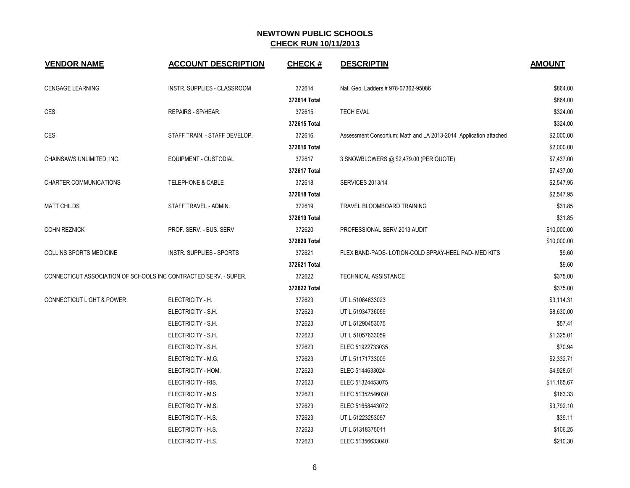| <b>VENDOR NAME</b>                                               | <b>ACCOUNT DESCRIPTION</b>    | <b>CHECK#</b> | <b>DESCRIPTIN</b>                                                 | <b>AMOUNT</b> |
|------------------------------------------------------------------|-------------------------------|---------------|-------------------------------------------------------------------|---------------|
| <b>CENGAGE LEARNING</b>                                          | INSTR. SUPPLIES - CLASSROOM   | 372614        | Nat. Geo. Ladders # 978-07362-95086                               | \$864.00      |
|                                                                  |                               | 372614 Total  |                                                                   | \$864.00      |
| <b>CES</b>                                                       | REPAIRS - SP/HEAR.            | 372615        | <b>TECH EVAL</b>                                                  | \$324.00      |
|                                                                  |                               | 372615 Total  |                                                                   | \$324.00      |
| <b>CES</b>                                                       | STAFF TRAIN. - STAFF DEVELOP. | 372616        | Assessment Consortium: Math and LA 2013-2014 Application attached | \$2,000.00    |
|                                                                  |                               | 372616 Total  |                                                                   | \$2,000.00    |
| CHAINSAWS UNLIMITED, INC.                                        | <b>EQUIPMENT - CUSTODIAL</b>  | 372617        | 3 SNOWBLOWERS @ \$2,479.00 (PER QUOTE)                            | \$7,437.00    |
|                                                                  |                               | 372617 Total  |                                                                   | \$7,437.00    |
| <b>CHARTER COMMUNICATIONS</b>                                    | <b>TELEPHONE &amp; CABLE</b>  | 372618        | <b>SERVICES 2013/14</b>                                           | \$2,547.95    |
|                                                                  |                               | 372618 Total  |                                                                   | \$2,547.95    |
| <b>MATT CHILDS</b>                                               | STAFF TRAVEL - ADMIN.         | 372619        | TRAVEL BLOOMBOARD TRAINING                                        | \$31.85       |
|                                                                  |                               | 372619 Total  |                                                                   | \$31.85       |
| <b>COHN REZNICK</b>                                              | PROF. SERV. - BUS. SERV       | 372620        | PROFESSIONAL SERV 2013 AUDIT                                      | \$10,000.00   |
|                                                                  |                               | 372620 Total  |                                                                   | \$10,000.00   |
| <b>COLLINS SPORTS MEDICINE</b>                                   | INSTR. SUPPLIES - SPORTS      | 372621        | FLEX BAND-PADS-LOTION-COLD SPRAY-HEEL PAD- MED KITS               | \$9.60        |
|                                                                  |                               | 372621 Total  |                                                                   | \$9.60        |
| CONNECTICUT ASSOCIATION OF SCHOOLS INC CONTRACTED SERV. - SUPER. |                               | 372622        | TECHNICAL ASSISTANCE                                              | \$375.00      |
|                                                                  |                               | 372622 Total  |                                                                   | \$375.00      |
| <b>CONNECTICUT LIGHT &amp; POWER</b>                             | ELECTRICITY - H.              | 372623        | UTIL 51084633023                                                  | \$3,114.31    |
|                                                                  | ELECTRICITY - S.H.            | 372623        | UTIL 51934736059                                                  | \$8,630.00    |
|                                                                  | ELECTRICITY - S.H.            | 372623        | UTIL 51290453075                                                  | \$57.41       |
|                                                                  | ELECTRICITY - S.H.            | 372623        | UTIL 51057633059                                                  | \$1,325.01    |
|                                                                  | ELECTRICITY - S.H.            | 372623        | ELEC 51922733035                                                  | \$70.94       |
|                                                                  | ELECTRICITY - M.G.            | 372623        | UTIL 51171733009                                                  | \$2,332.71    |
|                                                                  | ELECTRICITY - HOM.            | 372623        | ELEC 5144633024                                                   | \$4,928.51    |
|                                                                  | ELECTRICITY - RIS.            | 372623        | ELEC 51324453075                                                  | \$11,165.67   |
|                                                                  | ELECTRICITY - M.S.            | 372623        | ELEC 51352546030                                                  | \$163.33      |
|                                                                  | ELECTRICITY - M.S.            | 372623        | ELEC 51658443072                                                  | \$3,792.10    |
|                                                                  | ELECTRICITY - H.S.            | 372623        | UTIL 51223253097                                                  | \$39.11       |
|                                                                  | ELECTRICITY - H.S.            | 372623        | UTIL 51318375011                                                  | \$106.25      |
|                                                                  | ELECTRICITY - H.S.            | 372623        | ELEC 51356633040                                                  | \$210.30      |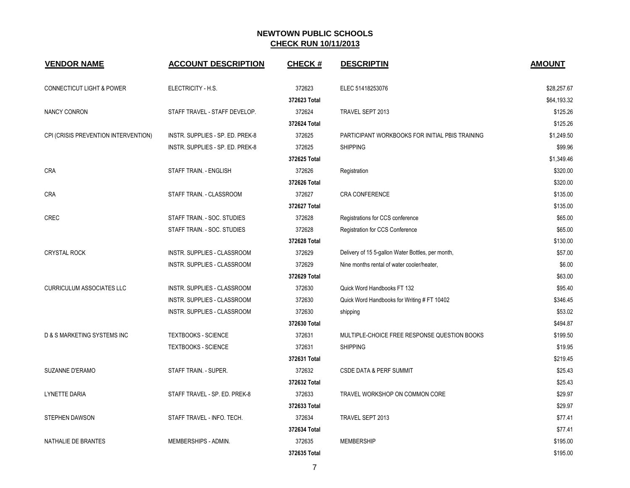| <b>VENDOR NAME</b>                   | <b>ACCOUNT DESCRIPTION</b>       | <b>CHECK#</b> | <b>DESCRIPTIN</b>                                 | <b>AMOUNT</b> |
|--------------------------------------|----------------------------------|---------------|---------------------------------------------------|---------------|
| <b>CONNECTICUT LIGHT &amp; POWER</b> | ELECTRICITY - H.S.               | 372623        | ELEC 51418253076                                  | \$28,257.67   |
|                                      |                                  | 372623 Total  |                                                   | \$64,193.32   |
| NANCY CONRON                         | STAFF TRAVEL - STAFF DEVELOP.    | 372624        | TRAVEL SEPT 2013                                  | \$125.26      |
|                                      |                                  | 372624 Total  |                                                   | \$125.26      |
| CPI (CRISIS PREVENTION INTERVENTION) | INSTR. SUPPLIES - SP. ED. PREK-8 | 372625        | PARTICIPANT WORKBOOKS FOR INITIAL PBIS TRAINING   | \$1,249.50    |
|                                      | INSTR. SUPPLIES - SP. ED. PREK-8 | 372625        | <b>SHIPPING</b>                                   | \$99.96       |
|                                      |                                  | 372625 Total  |                                                   | \$1,349.46    |
| <b>CRA</b>                           | STAFF TRAIN. - ENGLISH           | 372626        | Registration                                      | \$320.00      |
|                                      |                                  | 372626 Total  |                                                   | \$320.00      |
| <b>CRA</b>                           | STAFF TRAIN. - CLASSROOM         | 372627        | CRA CONFERENCE                                    | \$135.00      |
|                                      |                                  | 372627 Total  |                                                   | \$135.00      |
| <b>CREC</b>                          | STAFF TRAIN. - SOC. STUDIES      | 372628        | Registrations for CCS conference                  | \$65.00       |
|                                      | STAFF TRAIN. - SOC. STUDIES      | 372628        | <b>Registration for CCS Conference</b>            | \$65.00       |
|                                      |                                  | 372628 Total  |                                                   | \$130.00      |
| <b>CRYSTAL ROCK</b>                  | INSTR. SUPPLIES - CLASSROOM      | 372629        | Delivery of 15 5-gallon Water Bottles, per month, | \$57.00       |
|                                      | INSTR. SUPPLIES - CLASSROOM      | 372629        | Nine months rental of water cooler/heater,        | \$6.00        |
|                                      |                                  | 372629 Total  |                                                   | \$63.00       |
| <b>CURRICULUM ASSOCIATES LLC</b>     | INSTR. SUPPLIES - CLASSROOM      | 372630        | Quick Word Handbooks FT 132                       | \$95.40       |
|                                      | INSTR. SUPPLIES - CLASSROOM      | 372630        | Quick Word Handbooks for Writing # FT 10402       | \$346.45      |
|                                      | INSTR. SUPPLIES - CLASSROOM      | 372630        | shipping                                          | \$53.02       |
|                                      |                                  | 372630 Total  |                                                   | \$494.87      |
| D & S MARKETING SYSTEMS INC          | <b>TEXTBOOKS - SCIENCE</b>       | 372631        | MULTIPLE-CHOICE FREE RESPONSE QUESTION BOOKS      | \$199.50      |
|                                      | <b>TEXTBOOKS - SCIENCE</b>       | 372631        | <b>SHIPPING</b>                                   | \$19.95       |
|                                      |                                  | 372631 Total  |                                                   | \$219.45      |
| SUZANNE D'ERAMO                      | STAFF TRAIN. - SUPER.            | 372632        | <b>CSDE DATA &amp; PERF SUMMIT</b>                | \$25.43       |
|                                      |                                  | 372632 Total  |                                                   | \$25.43       |
| LYNETTE DARIA                        | STAFF TRAVEL - SP. ED. PREK-8    | 372633        | TRAVEL WORKSHOP ON COMMON CORE                    | \$29.97       |
|                                      |                                  | 372633 Total  |                                                   | \$29.97       |
| <b>STEPHEN DAWSON</b>                | STAFF TRAVEL - INFO. TECH.       | 372634        | TRAVEL SEPT 2013                                  | \$77.41       |
|                                      |                                  | 372634 Total  |                                                   | \$77.41       |
| NATHALIE DE BRANTES                  | MEMBERSHIPS - ADMIN.             | 372635        | <b>MEMBERSHIP</b>                                 | \$195.00      |
|                                      |                                  | 372635 Total  |                                                   | \$195.00      |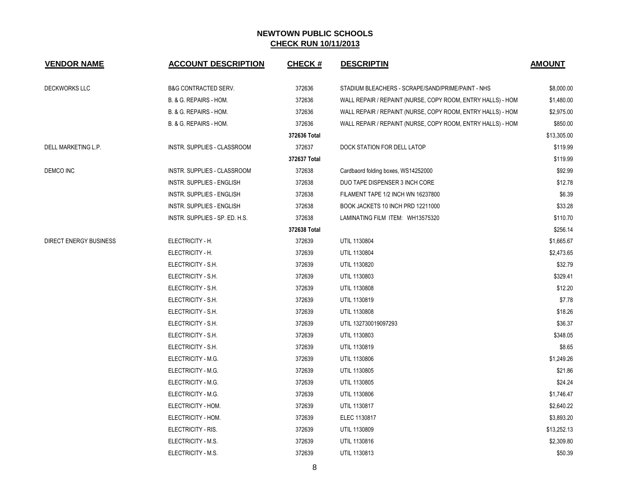| <b>VENDOR NAME</b>            | <b>ACCOUNT DESCRIPTION</b>      | <b>CHECK#</b> | <b>DESCRIPTIN</b>                                           | <b>AMOUNT</b> |
|-------------------------------|---------------------------------|---------------|-------------------------------------------------------------|---------------|
| <b>DECKWORKS LLC</b>          | <b>B&amp;G CONTRACTED SERV.</b> | 372636        | STADIUM BLEACHERS - SCRAPE/SAND/PRIME/PAINT - NHS           | \$8,000.00    |
|                               | B. & G. REPAIRS - HOM.          | 372636        | WALL REPAIR / REPAINT (NURSE, COPY ROOM, ENTRY HALLS) - HOM | \$1,480.00    |
|                               | B. & G. REPAIRS - HOM.          | 372636        | WALL REPAIR / REPAINT (NURSE, COPY ROOM, ENTRY HALLS) - HOM | \$2,975.00    |
|                               | B. & G. REPAIRS - HOM.          | 372636        | WALL REPAIR / REPAINT (NURSE, COPY ROOM, ENTRY HALLS) - HOM | \$850.00      |
|                               |                                 | 372636 Total  |                                                             | \$13,305.00   |
| DELL MARKETING L.P.           | INSTR. SUPPLIES - CLASSROOM     | 372637        | DOCK STATION FOR DELL LATOP                                 | \$119.99      |
|                               |                                 | 372637 Total  |                                                             | \$119.99      |
| DEMCO INC                     | INSTR. SUPPLIES - CLASSROOM     | 372638        | Cardbaord folding boxes, WS14252000                         | \$92.99       |
|                               | INSTR. SUPPLIES - ENGLISH       | 372638        | DUO TAPE DISPENSER 3 INCH CORE                              | \$12.78       |
|                               | INSTR. SUPPLIES - ENGLISH       | 372638        | FILAMENT TAPE 1/2 INCH WN 16237800                          | \$6.39        |
|                               | INSTR. SUPPLIES - ENGLISH       | 372638        | BOOK JACKETS 10 INCH PRD 12211000                           | \$33.28       |
|                               | INSTR. SUPPLIES - SP. ED. H.S.  | 372638        | LAMINATING FILM ITEM: WH13575320                            | \$110.70      |
|                               |                                 | 372638 Total  |                                                             | \$256.14      |
| <b>DIRECT ENERGY BUSINESS</b> | ELECTRICITY - H.                | 372639        | UTIL 1130804                                                | \$1,665.67    |
|                               | ELECTRICITY - H.                | 372639        | UTIL 1130804                                                | \$2,473.65    |
|                               | ELECTRICITY - S.H.              | 372639        | UTIL 1130820                                                | \$32.79       |
|                               | ELECTRICITY - S.H.              | 372639        | UTIL 1130803                                                | \$329.41      |
|                               | ELECTRICITY - S.H.              | 372639        | UTIL 1130808                                                | \$12.20       |
|                               | ELECTRICITY - S.H.              | 372639        | UTIL 1130819                                                | \$7.78        |
|                               | ELECTRICITY - S.H.              | 372639        | UTIL 1130808                                                | \$18.26       |
|                               | ELECTRICITY - S.H.              | 372639        | UTIL 132730019097293                                        | \$36.37       |
|                               | ELECTRICITY - S.H.              | 372639        | UTIL 1130803                                                | \$348.05      |
|                               | ELECTRICITY - S.H.              | 372639        | UTIL 1130819                                                | \$8.65        |
|                               | ELECTRICITY - M.G.              | 372639        | UTIL 1130806                                                | \$1,249.26    |
|                               | ELECTRICITY - M.G.              | 372639        | UTIL 1130805                                                | \$21.86       |
|                               | ELECTRICITY - M.G.              | 372639        | UTIL 1130805                                                | \$24.24       |
|                               | ELECTRICITY - M.G.              | 372639        | UTIL 1130806                                                | \$1,746.47    |
|                               | ELECTRICITY - HOM.              | 372639        | UTIL 1130817                                                | \$2,640.22    |
|                               | ELECTRICITY - HOM.              | 372639        | ELEC 1130817                                                | \$3,893.20    |
|                               | ELECTRICITY - RIS.              | 372639        | UTIL 1130809                                                | \$13,252.13   |
|                               | ELECTRICITY - M.S.              | 372639        | UTIL 1130816                                                | \$2,309.80    |
|                               | ELECTRICITY - M.S.              | 372639        | UTIL 1130813                                                | \$50.39       |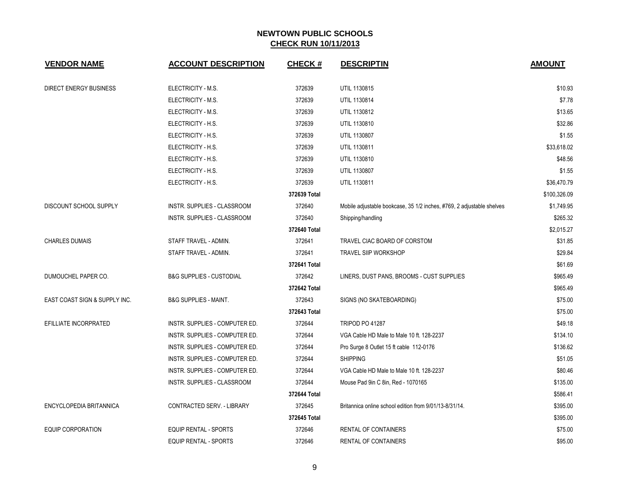| <b>VENDOR NAME</b>            | <b>ACCOUNT DESCRIPTION</b>          | <b>CHECK#</b> | <b>DESCRIPTIN</b>                                                     | <b>AMOUNT</b> |
|-------------------------------|-------------------------------------|---------------|-----------------------------------------------------------------------|---------------|
| <b>DIRECT ENERGY BUSINESS</b> | ELECTRICITY - M.S.                  | 372639        | UTIL 1130815                                                          | \$10.93       |
|                               | ELECTRICITY - M.S.                  | 372639        | UTIL 1130814                                                          | \$7.78        |
|                               | ELECTRICITY - M.S.                  | 372639        | UTIL 1130812                                                          | \$13.65       |
|                               | ELECTRICITY - H.S.                  | 372639        | UTIL 1130810                                                          | \$32.86       |
|                               | ELECTRICITY - H.S.                  | 372639        | UTIL 1130807                                                          | \$1.55        |
|                               | ELECTRICITY - H.S.                  | 372639        | UTIL 1130811                                                          | \$33,618.02   |
|                               | ELECTRICITY - H.S.                  | 372639        | UTIL 1130810                                                          | \$48.56       |
|                               | ELECTRICITY - H.S.                  | 372639        | UTIL 1130807                                                          | \$1.55        |
|                               | ELECTRICITY - H.S.                  | 372639        | UTIL 1130811                                                          | \$36,470.79   |
|                               |                                     | 372639 Total  |                                                                       | \$100,326.09  |
| DISCOUNT SCHOOL SUPPLY        | INSTR. SUPPLIES - CLASSROOM         | 372640        | Mobile adjustable bookcase, 35 1/2 inches, #769, 2 adjustable shelves | \$1,749.95    |
|                               | <b>INSTR. SUPPLIES - CLASSROOM</b>  | 372640        | Shipping/handling                                                     | \$265.32      |
|                               |                                     | 372640 Total  |                                                                       | \$2,015.27    |
| <b>CHARLES DUMAIS</b>         | STAFF TRAVEL - ADMIN.               | 372641        | TRAVEL CIAC BOARD OF CORSTOM                                          | \$31.85       |
|                               | STAFF TRAVEL - ADMIN.               | 372641        | <b>TRAVEL SIIP WORKSHOP</b>                                           | \$29.84       |
|                               |                                     | 372641 Total  |                                                                       | \$61.69       |
| DUMOUCHEL PAPER CO.           | <b>B&amp;G SUPPLIES - CUSTODIAL</b> | 372642        | LINERS, DUST PANS, BROOMS - CUST SUPPLIES                             | \$965.49      |
|                               |                                     | 372642 Total  |                                                                       | \$965.49      |
| EAST COAST SIGN & SUPPLY INC. | <b>B&amp;G SUPPLIES - MAINT.</b>    | 372643        | SIGNS (NO SKATEBOARDING)                                              | \$75.00       |
|                               |                                     | 372643 Total  |                                                                       | \$75.00       |
| EFILLIATE INCORPRATED         | INSTR. SUPPLIES - COMPUTER ED.      | 372644        | <b>TRIPOD PO 41287</b>                                                | \$49.18       |
|                               | INSTR. SUPPLIES - COMPUTER ED.      | 372644        | VGA Cable HD Male to Male 10 ft. 128-2237                             | \$134.10      |
|                               | INSTR. SUPPLIES - COMPUTER ED.      | 372644        | Pro Surge 8 Outlet 15 ft cable 112-0176                               | \$136.62      |
|                               | INSTR. SUPPLIES - COMPUTER ED.      | 372644        | <b>SHIPPING</b>                                                       | \$51.05       |
|                               | INSTR. SUPPLIES - COMPUTER ED.      | 372644        | VGA Cable HD Male to Male 10 ft. 128-2237                             | \$80.46       |
|                               | INSTR. SUPPLIES - CLASSROOM         | 372644        | Mouse Pad 9in C 8in, Red - 1070165                                    | \$135.00      |
|                               |                                     | 372644 Total  |                                                                       | \$586.41      |
| ENCYCLOPEDIA BRITANNICA       | CONTRACTED SERV. - LIBRARY          | 372645        | Britannica online school edition from 9/01/13-8/31/14.                | \$395.00      |
|                               |                                     | 372645 Total  |                                                                       | \$395.00      |
| <b>EQUIP CORPORATION</b>      | <b>EQUIP RENTAL - SPORTS</b>        | 372646        | <b>RENTAL OF CONTAINERS</b>                                           | \$75.00       |
|                               | <b>EQUIP RENTAL - SPORTS</b>        | 372646        | <b>RENTAL OF CONTAINERS</b>                                           | \$95.00       |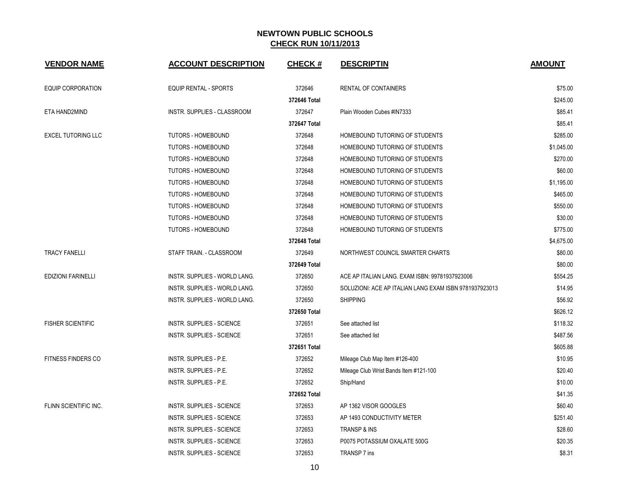| <b>VENDOR NAME</b>        | <b>ACCOUNT DESCRIPTION</b>           | <b>CHECK#</b> | <b>DESCRIPTIN</b>                                      | <b>AMOUNT</b> |
|---------------------------|--------------------------------------|---------------|--------------------------------------------------------|---------------|
| <b>EQUIP CORPORATION</b>  | <b>EQUIP RENTAL - SPORTS</b>         | 372646        | RENTAL OF CONTAINERS                                   | \$75.00       |
|                           |                                      | 372646 Total  |                                                        | \$245.00      |
| ETA HAND2MIND             | INSTR. SUPPLIES - CLASSROOM          | 372647        | Plain Wooden Cubes #IN7333                             | \$85.41       |
|                           |                                      | 372647 Total  |                                                        | \$85.41       |
| <b>EXCEL TUTORING LLC</b> | <b>TUTORS - HOMEBOUND</b>            | 372648        | HOMEBOUND TUTORING OF STUDENTS                         | \$285.00      |
|                           | <b>TUTORS - HOMEBOUND</b>            | 372648        | HOMEBOUND TUTORING OF STUDENTS                         | \$1,045.00    |
|                           | <b>TUTORS - HOMEBOUND</b>            | 372648        | HOMEBOUND TUTORING OF STUDENTS                         | \$270.00      |
|                           | <b>TUTORS - HOMEBOUND</b>            | 372648        | HOMEBOUND TUTORING OF STUDENTS                         | \$60.00       |
|                           | <b>TUTORS - HOMEBOUND</b>            | 372648        | HOMEBOUND TUTORING OF STUDENTS                         | \$1,195.00    |
|                           | <b>TUTORS - HOMEBOUND</b>            | 372648        | HOMEBOUND TUTORING OF STUDENTS                         | \$465.00      |
|                           | <b>TUTORS - HOMEBOUND</b>            | 372648        | HOMEBOUND TUTORING OF STUDENTS                         | \$550.00      |
|                           | <b>TUTORS - HOMEBOUND</b>            | 372648        | HOMEBOUND TUTORING OF STUDENTS                         | \$30.00       |
|                           | <b>TUTORS - HOMEBOUND</b>            | 372648        | HOMEBOUND TUTORING OF STUDENTS                         | \$775.00      |
|                           |                                      | 372648 Total  |                                                        | \$4,675.00    |
| <b>TRACY FANELLI</b>      | STAFF TRAIN. - CLASSROOM             | 372649        | NORTHWEST COUNCIL SMARTER CHARTS                       | \$80.00       |
|                           |                                      | 372649 Total  |                                                        | \$80.00       |
| <b>EDIZIONI FARINELLI</b> | <b>INSTR. SUPPLIES - WORLD LANG.</b> | 372650        | ACE AP ITALIAN LANG. EXAM ISBN: 99781937923006         | \$554.25      |
|                           | <b>INSTR. SUPPLIES - WORLD LANG.</b> | 372650        | SOLUZIONI: ACE AP ITALIAN LANG EXAM ISBN 9781937923013 | \$14.95       |
|                           | INSTR. SUPPLIES - WORLD LANG.        | 372650        | <b>SHIPPING</b>                                        | \$56.92       |
|                           |                                      | 372650 Total  |                                                        | \$626.12      |
| <b>FISHER SCIENTIFIC</b>  | INSTR. SUPPLIES - SCIENCE            | 372651        | See attached list                                      | \$118.32      |
|                           | INSTR. SUPPLIES - SCIENCE            | 372651        | See attached list                                      | \$487.56      |
|                           |                                      | 372651 Total  |                                                        | \$605.88      |
| FITNESS FINDERS CO        | <b>INSTR. SUPPLIES - P.E.</b>        | 372652        | Mileage Club Map Item #126-400                         | \$10.95       |
|                           | <b>INSTR. SUPPLIES - P.E.</b>        | 372652        | Mileage Club Wrist Bands Item #121-100                 | \$20.40       |
|                           | INSTR. SUPPLIES - P.E.               | 372652        | Ship/Hand                                              | \$10.00       |
|                           |                                      | 372652 Total  |                                                        | \$41.35       |
| FLINN SCIENTIFIC INC.     | <b>INSTR. SUPPLIES - SCIENCE</b>     | 372653        | AP 1362 VISOR GOOGLES                                  | \$60.40       |
|                           | <b>INSTR. SUPPLIES - SCIENCE</b>     | 372653        | AP 1493 CONDUCTIVITY METER                             | \$251.40      |
|                           | INSTR. SUPPLIES - SCIENCE            | 372653        | <b>TRANSP &amp; INS</b>                                | \$28.60       |
|                           | <b>INSTR. SUPPLIES - SCIENCE</b>     | 372653        | P0075 POTASSIUM OXALATE 500G                           | \$20.35       |
|                           | INSTR. SUPPLIES - SCIENCE            | 372653        | TRANSP 7 ins                                           | \$8.31        |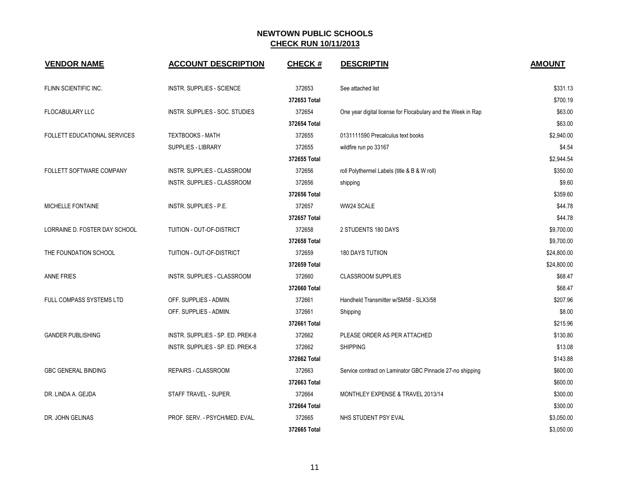| <b>VENDOR NAME</b>            | <b>ACCOUNT DESCRIPTION</b>       | <b>CHECK#</b> | <b>DESCRIPTIN</b>                                            | <b>AMOUNT</b> |
|-------------------------------|----------------------------------|---------------|--------------------------------------------------------------|---------------|
| FLINN SCIENTIFIC INC.         | INSTR. SUPPLIES - SCIENCE        | 372653        | See attached list                                            | \$331.13      |
|                               |                                  | 372653 Total  |                                                              | \$700.19      |
| <b>FLOCABULARY LLC</b>        | INSTR. SUPPLIES - SOC. STUDIES   | 372654        | One year digital license for Flocabulary and the Week in Rap | \$63.00       |
|                               |                                  | 372654 Total  |                                                              | \$63.00       |
| FOLLETT EDUCATIONAL SERVICES  | <b>TEXTBOOKS - MATH</b>          | 372655        | 0131111590 Precalculus text books                            | \$2,940.00    |
|                               | SUPPLIES - LIBRARY               | 372655        | wildfire run po 33167                                        | \$4.54        |
|                               |                                  | 372655 Total  |                                                              | \$2,944.54    |
| FOLLETT SOFTWARE COMPANY      | INSTR. SUPPLIES - CLASSROOM      | 372656        | roll Polythermel Labels (title & B & W roll)                 | \$350.00      |
|                               | INSTR. SUPPLIES - CLASSROOM      | 372656        | shipping                                                     | \$9.60        |
|                               |                                  | 372656 Total  |                                                              | \$359.60      |
| MICHELLE FONTAINE             | INSTR. SUPPLIES - P.E.           | 372657        | WW24 SCALE                                                   | \$44.78       |
|                               |                                  | 372657 Total  |                                                              | \$44.78       |
| LORRAINE D. FOSTER DAY SCHOOL | TUITION - OUT-OF-DISTRICT        | 372658        | 2 STUDENTS 180 DAYS                                          | \$9,700.00    |
|                               |                                  | 372658 Total  |                                                              | \$9,700.00    |
| THE FOUNDATION SCHOOL         | TUITION - OUT-OF-DISTRICT        | 372659        | <b>180 DAYS TUTIION</b>                                      | \$24,800.00   |
|                               |                                  | 372659 Total  |                                                              | \$24,800.00   |
| <b>ANNE FRIES</b>             | INSTR. SUPPLIES - CLASSROOM      | 372660        | <b>CLASSROOM SUPPLIES</b>                                    | \$68.47       |
|                               |                                  | 372660 Total  |                                                              | \$68.47       |
| FULL COMPASS SYSTEMS LTD      | OFF. SUPPLIES - ADMIN.           | 372661        | Handheld Transmitter w/SM58 - SLX3/58                        | \$207.96      |
|                               | OFF. SUPPLIES - ADMIN.           | 372661        | Shipping                                                     | \$8.00        |
|                               |                                  | 372661 Total  |                                                              | \$215.96      |
| <b>GANDER PUBLISHING</b>      | INSTR. SUPPLIES - SP. ED. PREK-8 | 372662        | PLEASE ORDER AS PER ATTACHED                                 | \$130.80      |
|                               | INSTR. SUPPLIES - SP. ED. PREK-8 | 372662        | <b>SHIPPING</b>                                              | \$13.08       |
|                               |                                  | 372662 Total  |                                                              | \$143.88      |
| <b>GBC GENERAL BINDING</b>    | REPAIRS - CLASSROOM              | 372663        | Service contract on Laminator GBC Pinnacle 27-no shipping    | \$600.00      |
|                               |                                  | 372663 Total  |                                                              | \$600.00      |
| DR. LINDA A. GEJDA            | STAFF TRAVEL - SUPER.            | 372664        | MONTHLEY EXPENSE & TRAVEL 2013/14                            | \$300.00      |
|                               |                                  | 372664 Total  |                                                              | \$300.00      |
| DR. JOHN GELINAS              | PROF. SERV. - PSYCH/MED. EVAL.   | 372665        | NHS STUDENT PSY EVAL                                         | \$3,050.00    |
|                               |                                  | 372665 Total  |                                                              | \$3,050.00    |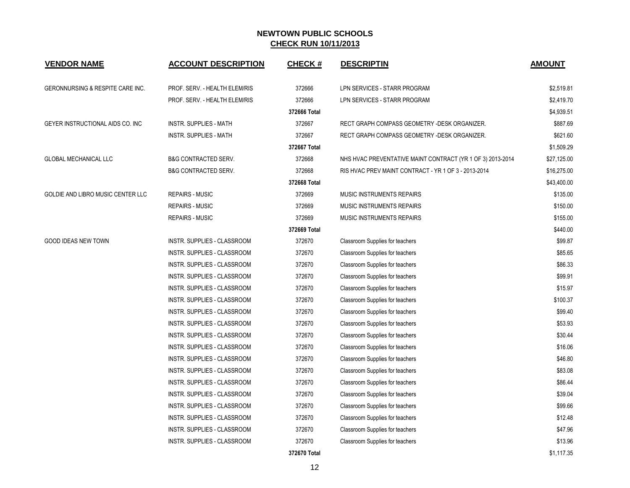| <b>VENDOR NAME</b>                | <b>ACCOUNT DESCRIPTION</b>      | <b>CHECK#</b> | <b>DESCRIPTIN</b>                                          | <b>AMOUNT</b> |
|-----------------------------------|---------------------------------|---------------|------------------------------------------------------------|---------------|
| GERONNURSING & RESPITE CARE INC.  | PROF. SERV. - HEALTH ELEM/RIS   | 372666        | LPN SERVICES - STARR PROGRAM                               | \$2,519.81    |
|                                   | PROF. SERV. - HEALTH ELEM/RIS   | 372666        | LPN SERVICES - STARR PROGRAM                               | \$2,419.70    |
|                                   |                                 | 372666 Total  |                                                            | \$4,939.51    |
| GEYER INSTRUCTIONAL AIDS CO. INC  | <b>INSTR. SUPPLIES - MATH</b>   | 372667        | RECT GRAPH COMPASS GEOMETRY -DESK ORGANIZER.               | \$887.69      |
|                                   | <b>INSTR. SUPPLIES - MATH</b>   | 372667        | RECT GRAPH COMPASS GEOMETRY -DESK ORGANIZER.               | \$621.60      |
|                                   |                                 | 372667 Total  |                                                            | \$1,509.29    |
| <b>GLOBAL MECHANICAL LLC</b>      | <b>B&amp;G CONTRACTED SERV.</b> | 372668        | NHS HVAC PREVENTATIVE MAINT CONTRACT (YR 1 OF 3) 2013-2014 | \$27,125.00   |
|                                   | <b>B&amp;G CONTRACTED SERV.</b> | 372668        | RIS HVAC PREV MAINT CONTRACT - YR 1 OF 3 - 2013-2014       | \$16,275.00   |
|                                   |                                 | 372668 Total  |                                                            | \$43,400.00   |
| GOLDIE AND LIBRO MUSIC CENTER LLC | <b>REPAIRS - MUSIC</b>          | 372669        | MUSIC INSTRUMENTS REPAIRS                                  | \$135.00      |
|                                   | <b>REPAIRS - MUSIC</b>          | 372669        | MUSIC INSTRUMENTS REPAIRS                                  | \$150.00      |
|                                   | <b>REPAIRS - MUSIC</b>          | 372669        | MUSIC INSTRUMENTS REPAIRS                                  | \$155.00      |
|                                   |                                 | 372669 Total  |                                                            | \$440.00      |
| <b>GOOD IDEAS NEW TOWN</b>        | INSTR. SUPPLIES - CLASSROOM     | 372670        | Classroom Supplies for teachers                            | \$99.87       |
|                                   | INSTR. SUPPLIES - CLASSROOM     | 372670        | Classroom Supplies for teachers                            | \$85.65       |
|                                   | INSTR. SUPPLIES - CLASSROOM     | 372670        | Classroom Supplies for teachers                            | \$86.33       |
|                                   | INSTR. SUPPLIES - CLASSROOM     | 372670        | Classroom Supplies for teachers                            | \$99.91       |
|                                   | INSTR. SUPPLIES - CLASSROOM     | 372670        | Classroom Supplies for teachers                            | \$15.97       |
|                                   | INSTR. SUPPLIES - CLASSROOM     | 372670        | Classroom Supplies for teachers                            | \$100.37      |
|                                   | INSTR. SUPPLIES - CLASSROOM     | 372670        | Classroom Supplies for teachers                            | \$99.40       |
|                                   | INSTR. SUPPLIES - CLASSROOM     | 372670        | Classroom Supplies for teachers                            | \$53.93       |
|                                   | INSTR. SUPPLIES - CLASSROOM     | 372670        | Classroom Supplies for teachers                            | \$30.44       |
|                                   | INSTR. SUPPLIES - CLASSROOM     | 372670        | Classroom Supplies for teachers                            | \$16.06       |
|                                   | INSTR. SUPPLIES - CLASSROOM     | 372670        | Classroom Supplies for teachers                            | \$46.80       |
|                                   | INSTR. SUPPLIES - CLASSROOM     | 372670        | Classroom Supplies for teachers                            | \$83.08       |
|                                   | INSTR. SUPPLIES - CLASSROOM     | 372670        | Classroom Supplies for teachers                            | \$86.44       |
|                                   | INSTR. SUPPLIES - CLASSROOM     | 372670        | Classroom Supplies for teachers                            | \$39.04       |
|                                   | INSTR. SUPPLIES - CLASSROOM     | 372670        | Classroom Supplies for teachers                            | \$99.66       |
|                                   | INSTR. SUPPLIES - CLASSROOM     | 372670        | Classroom Supplies for teachers                            | \$12.48       |
|                                   | INSTR. SUPPLIES - CLASSROOM     | 372670        | Classroom Supplies for teachers                            | \$47.96       |
|                                   | INSTR. SUPPLIES - CLASSROOM     | 372670        | Classroom Supplies for teachers                            | \$13.96       |
|                                   |                                 | 372670 Total  |                                                            | \$1,117.35    |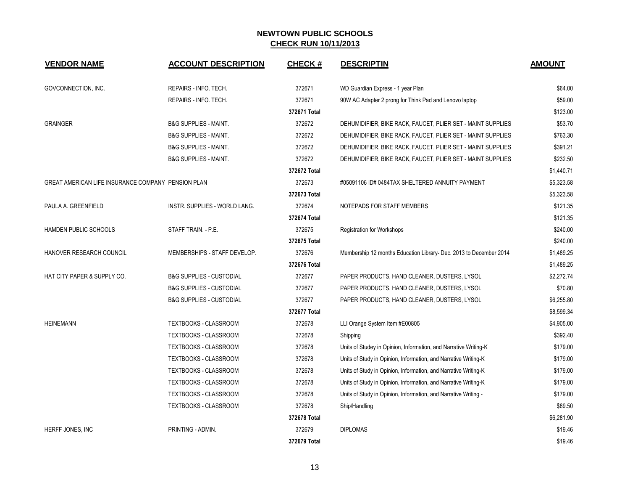| <b>VENDOR NAME</b>                                 | <b>ACCOUNT DESCRIPTION</b>           | <b>CHECK#</b> | <b>DESCRIPTIN</b>                                                  | <b>AMOUNT</b> |
|----------------------------------------------------|--------------------------------------|---------------|--------------------------------------------------------------------|---------------|
| GOVCONNECTION, INC.                                | REPAIRS - INFO. TECH.                | 372671        | WD Guardian Express - 1 year Plan                                  | \$64.00       |
|                                                    | REPAIRS - INFO. TECH.                | 372671        | 90W AC Adapter 2 prong for Think Pad and Lenovo laptop             | \$59.00       |
|                                                    |                                      | 372671 Total  |                                                                    | \$123.00      |
| <b>GRAINGER</b>                                    | <b>B&amp;G SUPPLIES - MAINT.</b>     | 372672        | DEHUMIDIFIER, BIKE RACK, FAUCET, PLIER SET - MAINT SUPPLIES        | \$53.70       |
|                                                    | <b>B&amp;G SUPPLIES - MAINT.</b>     | 372672        | DEHUMIDIFIER, BIKE RACK, FAUCET, PLIER SET - MAINT SUPPLIES        | \$763.30      |
|                                                    | <b>B&amp;G SUPPLIES - MAINT.</b>     | 372672        | DEHUMIDIFIER, BIKE RACK, FAUCET, PLIER SET - MAINT SUPPLIES        | \$391.21      |
|                                                    | <b>B&amp;G SUPPLIES - MAINT.</b>     | 372672        | DEHUMIDIFIER, BIKE RACK, FAUCET, PLIER SET - MAINT SUPPLIES        | \$232.50      |
|                                                    |                                      | 372672 Total  |                                                                    | \$1,440.71    |
| GREAT AMERICAN LIFE INSURANCE COMPANY PENSION PLAN |                                      | 372673        | #05091106 ID# 0484TAX SHELTERED ANNUITY PAYMENT                    | \$5,323.58    |
|                                                    |                                      | 372673 Total  |                                                                    | \$5,323.58    |
| PAULA A. GREENFIELD                                | <b>INSTR. SUPPLIES - WORLD LANG.</b> | 372674        | NOTEPADS FOR STAFF MEMBERS                                         | \$121.35      |
|                                                    |                                      | 372674 Total  |                                                                    | \$121.35      |
| HAMDEN PUBLIC SCHOOLS                              | STAFF TRAIN. - P.E.                  | 372675        | <b>Registration for Workshops</b>                                  | \$240.00      |
|                                                    |                                      | 372675 Total  |                                                                    | \$240.00      |
| HANOVER RESEARCH COUNCIL                           | MEMBERSHIPS - STAFF DEVELOP.         | 372676        | Membership 12 months Education Library- Dec. 2013 to December 2014 | \$1,489.25    |
|                                                    |                                      | 372676 Total  |                                                                    | \$1,489.25    |
| HAT CITY PAPER & SUPPLY CO.                        | <b>B&amp;G SUPPLIES - CUSTODIAL</b>  | 372677        | PAPER PRODUCTS, HAND CLEANER, DUSTERS, LYSOL                       | \$2,272.74    |
|                                                    | <b>B&amp;G SUPPLIES - CUSTODIAL</b>  | 372677        | PAPER PRODUCTS, HAND CLEANER, DUSTERS, LYSOL                       | \$70.80       |
|                                                    | <b>B&amp;G SUPPLIES - CUSTODIAL</b>  | 372677        | PAPER PRODUCTS, HAND CLEANER, DUSTERS, LYSOL                       | \$6,255.80    |
|                                                    |                                      | 372677 Total  |                                                                    | \$8,599.34    |
| <b>HEINEMANN</b>                                   | TEXTBOOKS - CLASSROOM                | 372678        | LLI Orange System Item #E00805                                     | \$4,905.00    |
|                                                    | TEXTBOOKS - CLASSROOM                | 372678        | Shipping                                                           | \$392.40      |
|                                                    | TEXTBOOKS - CLASSROOM                | 372678        | Units of Studey in Opinion, Information, and Narrative Writing-K   | \$179.00      |
|                                                    | TEXTBOOKS - CLASSROOM                | 372678        | Units of Study in Opinion, Information, and Narrative Writing-K    | \$179.00      |
|                                                    | TEXTBOOKS - CLASSROOM                | 372678        | Units of Study in Opinion, Information, and Narrative Writing-K    | \$179.00      |
|                                                    | TEXTBOOKS - CLASSROOM                | 372678        | Units of Study in Opinion, Information, and Narrative Writing-K    | \$179.00      |
|                                                    | <b>TEXTBOOKS - CLASSROOM</b>         | 372678        | Units of Study in Opinion, Information, and Narrative Writing -    | \$179.00      |
|                                                    | TEXTBOOKS - CLASSROOM                | 372678        | Ship/Handling                                                      | \$89.50       |
|                                                    |                                      | 372678 Total  |                                                                    | \$6,281.90    |
| HERFF JONES, INC                                   | PRINTING - ADMIN.                    | 372679        | <b>DIPLOMAS</b>                                                    | \$19.46       |
|                                                    |                                      | 372679 Total  |                                                                    | \$19.46       |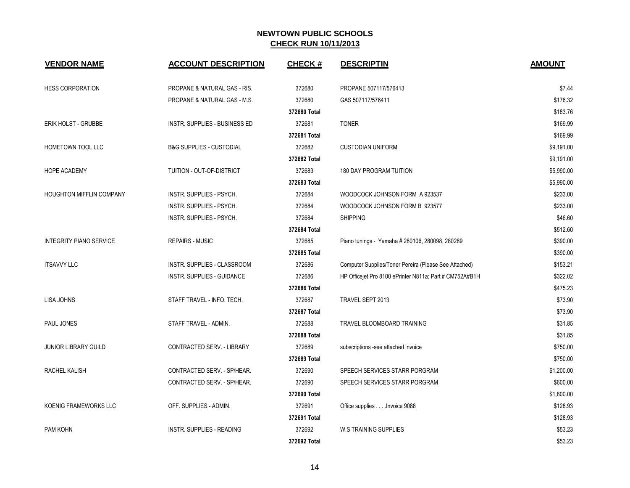| <b>VENDOR NAME</b>             | <b>ACCOUNT DESCRIPTION</b>          | <b>CHECK#</b> | <b>DESCRIPTIN</b>                                       | <b>AMOUNT</b> |
|--------------------------------|-------------------------------------|---------------|---------------------------------------------------------|---------------|
| <b>HESS CORPORATION</b>        | PROPANE & NATURAL GAS - RIS.        | 372680        | PROPANE 507117/576413                                   | \$7.44        |
|                                | PROPANE & NATURAL GAS - M.S.        | 372680        | GAS 507117/576411                                       | \$176.32      |
|                                |                                     | 372680 Total  |                                                         | \$183.76      |
| ERIK HOLST - GRUBBE            | INSTR. SUPPLIES - BUSINESS ED       | 372681        | <b>TONER</b>                                            | \$169.99      |
|                                |                                     | 372681 Total  |                                                         | \$169.99      |
| HOMETOWN TOOL LLC              | <b>B&amp;G SUPPLIES - CUSTODIAL</b> | 372682        | <b>CUSTODIAN UNIFORM</b>                                | \$9,191.00    |
|                                |                                     | 372682 Total  |                                                         | \$9,191.00    |
| <b>HOPE ACADEMY</b>            | TUITION - OUT-OF-DISTRICT           | 372683        | <b>180 DAY PROGRAM TUITION</b>                          | \$5,990.00    |
|                                |                                     | 372683 Total  |                                                         | \$5,990.00    |
| HOUGHTON MIFFLIN COMPANY       | <b>INSTR. SUPPLIES - PSYCH.</b>     | 372684        | WOODCOCK JOHNSON FORM A 923537                          | \$233.00      |
|                                | INSTR. SUPPLIES - PSYCH.            | 372684        | WOODCOCK JOHNSON FORM B 923577                          | \$233.00      |
|                                | INSTR. SUPPLIES - PSYCH.            | 372684        | <b>SHIPPING</b>                                         | \$46.60       |
|                                |                                     | 372684 Total  |                                                         | \$512.60      |
| <b>INTEGRITY PIANO SERVICE</b> | <b>REPAIRS - MUSIC</b>              | 372685        | Piano tunings - Yamaha # 280106, 280098, 280289         | \$390.00      |
|                                |                                     | 372685 Total  |                                                         | \$390.00      |
| <b>ITSAVVY LLC</b>             | INSTR. SUPPLIES - CLASSROOM         | 372686        | Computer Supplies/Toner Pereira (Please See Attached)   | \$153.21      |
|                                | <b>INSTR. SUPPLIES - GUIDANCE</b>   | 372686        | HP Officejet Pro 8100 ePrinter N811a; Part # CM752A#B1H | \$322.02      |
|                                |                                     | 372686 Total  |                                                         | \$475.23      |
| <b>LISA JOHNS</b>              | STAFF TRAVEL - INFO. TECH.          | 372687        | TRAVEL SEPT 2013                                        | \$73.90       |
|                                |                                     | 372687 Total  |                                                         | \$73.90       |
| PAUL JONES                     | STAFF TRAVEL - ADMIN.               | 372688        | TRAVEL BLOOMBOARD TRAINING                              | \$31.85       |
|                                |                                     | 372688 Total  |                                                         | \$31.85       |
| JUNIOR LIBRARY GUILD           | CONTRACTED SERV. - LIBRARY          | 372689        | subscriptions -see attached invoice                     | \$750.00      |
|                                |                                     | 372689 Total  |                                                         | \$750.00      |
| <b>RACHEL KALISH</b>           | CONTRACTED SERV. - SP/HEAR.         | 372690        | SPEECH SERVICES STARR PORGRAM                           | \$1,200.00    |
|                                | CONTRACTED SERV. - SP/HEAR.         | 372690        | SPEECH SERVICES STARR PORGRAM                           | \$600.00      |
|                                |                                     | 372690 Total  |                                                         | \$1,800.00    |
| KOENIG FRAMEWORKS LLC          | OFF. SUPPLIES - ADMIN.              | 372691        | Office supplies Invoice 9088                            | \$128.93      |
|                                |                                     | 372691 Total  |                                                         | \$128.93      |
| PAM KOHN                       | INSTR. SUPPLIES - READING           | 372692        | <b>W.S TRAINING SUPPLIES</b>                            | \$53.23       |
|                                |                                     | 372692 Total  |                                                         | \$53.23       |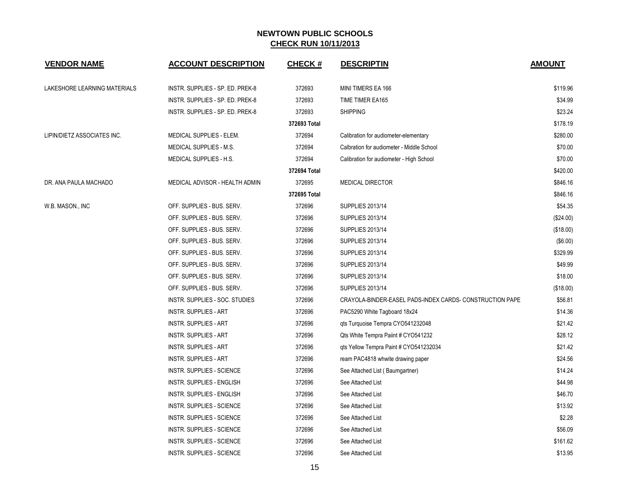| <b>VENDOR NAME</b>           | <b>ACCOUNT DESCRIPTION</b>       | <b>CHECK#</b> | <b>DESCRIPTIN</b>                                        | <b>AMOUNT</b> |
|------------------------------|----------------------------------|---------------|----------------------------------------------------------|---------------|
| LAKESHORE LEARNING MATERIALS | INSTR. SUPPLIES - SP. ED. PREK-8 | 372693        | MINI TIMERS EA 166                                       | \$119.96      |
|                              | INSTR. SUPPLIES - SP. ED. PREK-8 | 372693        | TIME TIMER EA165                                         | \$34.99       |
|                              | INSTR. SUPPLIES - SP. ED. PREK-8 | 372693        | <b>SHIPPING</b>                                          | \$23.24       |
|                              |                                  | 372693 Total  |                                                          | \$178.19      |
| LIPIN/DIETZ ASSOCIATES INC.  | MEDICAL SUPPLIES - ELEM.         | 372694        | Calibration for audiometer-elementary                    | \$280.00      |
|                              | MEDICAL SUPPLIES - M.S.          | 372694        | Calbration for audiometer - Middle School                | \$70.00       |
|                              | MEDICAL SUPPLIES - H.S.          | 372694        | Calibration for audiometer - High School                 | \$70.00       |
|                              |                                  | 372694 Total  |                                                          | \$420.00      |
| DR. ANA PAULA MACHADO        | MEDICAL ADVISOR - HEALTH ADMIN   | 372695        | <b>MEDICAL DIRECTOR</b>                                  | \$846.16      |
|                              |                                  | 372695 Total  |                                                          | \$846.16      |
| W.B. MASON., INC             | OFF. SUPPLIES - BUS. SERV.       | 372696        | <b>SUPPLIES 2013/14</b>                                  | \$54.35       |
|                              | OFF. SUPPLIES - BUS. SERV.       | 372696        | <b>SUPPLIES 2013/14</b>                                  | (\$24.00)     |
|                              | OFF. SUPPLIES - BUS. SERV.       | 372696        | SUPPLIES 2013/14                                         | (\$18.00)     |
|                              | OFF. SUPPLIES - BUS. SERV.       | 372696        | SUPPLIES 2013/14                                         | (\$6.00)      |
|                              | OFF. SUPPLIES - BUS. SERV.       | 372696        | <b>SUPPLIES 2013/14</b>                                  | \$329.99      |
|                              | OFF. SUPPLIES - BUS. SERV.       | 372696        | <b>SUPPLIES 2013/14</b>                                  | \$49.99       |
|                              | OFF. SUPPLIES - BUS. SERV.       | 372696        | <b>SUPPLIES 2013/14</b>                                  | \$18.00       |
|                              | OFF. SUPPLIES - BUS. SERV.       | 372696        | <b>SUPPLIES 2013/14</b>                                  | (\$18.00)     |
|                              | INSTR. SUPPLIES - SOC. STUDIES   | 372696        | CRAYOLA-BINDER-EASEL PADS-INDEX CARDS- CONSTRUCTION PAPE | \$56.81       |
|                              | <b>INSTR. SUPPLIES - ART</b>     | 372696        | PAC5290 White Tagboard 18x24                             | \$14.36       |
|                              | <b>INSTR. SUPPLIES - ART</b>     | 372696        | qts Turquoise Tempra CYO541232048                        | \$21.42       |
|                              | <b>INSTR. SUPPLIES - ART</b>     | 372696        | Qts White Tempra Paiint # CYO541232                      | \$28.12       |
|                              | <b>INSTR. SUPPLIES - ART</b>     | 372696        | qts Yellow Tempra Paint # CYO541232034                   | \$21.42       |
|                              | <b>INSTR. SUPPLIES - ART</b>     | 372696        | ream PAC4818 whwite drawing paper                        | \$24.56       |
|                              | INSTR. SUPPLIES - SCIENCE        | 372696        | See Attached List (Baumgartner)                          | \$14.24       |
|                              | INSTR. SUPPLIES - ENGLISH        | 372696        | See Attached List                                        | \$44.98       |
|                              | INSTR. SUPPLIES - ENGLISH        | 372696        | See Attached List                                        | \$46.70       |
|                              | INSTR. SUPPLIES - SCIENCE        | 372696        | See Attached List                                        | \$13.92       |
|                              | INSTR. SUPPLIES - SCIENCE        | 372696        | See Attached List                                        | \$2.28        |
|                              | INSTR. SUPPLIES - SCIENCE        | 372696        | See Attached List                                        | \$56.09       |
|                              | INSTR. SUPPLIES - SCIENCE        | 372696        | See Attached List                                        | \$161.62      |
|                              | INSTR. SUPPLIES - SCIENCE        | 372696        | See Attached List                                        | \$13.95       |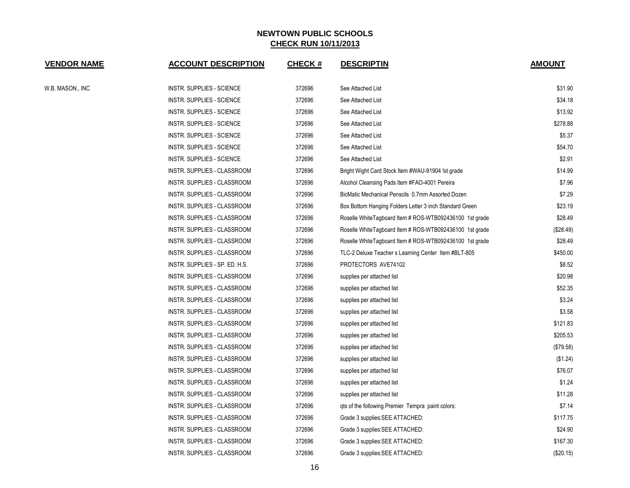| <b>VENDOR NAME</b> | <b>ACCOUNT DESCRIPTION</b>         | <b>CHECK#</b> | <b>DESCRIPTIN</b>                                        | <b>AMOUNT</b> |
|--------------------|------------------------------------|---------------|----------------------------------------------------------|---------------|
| W.B. MASON., INC   | INSTR. SUPPLIES - SCIENCE          | 372696        | See Attached List                                        | \$31.90       |
|                    | <b>INSTR. SUPPLIES - SCIENCE</b>   | 372696        | See Attached List                                        | \$34.18       |
|                    | INSTR. SUPPLIES - SCIENCE          | 372696        | See Attached List                                        | \$13.92       |
|                    | INSTR. SUPPLIES - SCIENCE          | 372696        | See Attached List                                        | \$278.88      |
|                    | INSTR. SUPPLIES - SCIENCE          | 372696        | See Attached List                                        | \$5.37        |
|                    | INSTR. SUPPLIES - SCIENCE          | 372696        | See Attached List                                        | \$54.70       |
|                    | INSTR. SUPPLIES - SCIENCE          | 372696        | See Attached List                                        | \$2.91        |
|                    | INSTR. SUPPLIES - CLASSROOM        | 372696        | Bright Wight Card Stock Item #WAU-91904 !st grade        | \$14.99       |
|                    | INSTR. SUPPLIES - CLASSROOM        | 372696        | Alcohol Cleansing Pads Item #FAO-4001 Pereira            | \$7.96        |
|                    | INSTR. SUPPLIES - CLASSROOM        | 372696        | BicMatic Mechanical Penscils 0.7mm Assorted Dozen        | \$7.29        |
|                    | INSTR. SUPPLIES - CLASSROOM        | 372696        | Box Bottom Hanging Folders Letter 3 inch Standard Green  | \$23.19       |
|                    | INSTR. SUPPLIES - CLASSROOM        | 372696        | Roselle White Tagboard Item # ROS-WTB092436100 1st grade | \$28.49       |
|                    | INSTR. SUPPLIES - CLASSROOM        | 372696        | Roselle White Tagboard Item # ROS-WTB092436100 1st grade | (\$28.49)     |
|                    | INSTR. SUPPLIES - CLASSROOM        | 372696        | Roselle White Tagboard Item # ROS-WTB092436100 1st grade | \$28.49       |
|                    | INSTR. SUPPLIES - CLASSROOM        | 372696        | TLC-2 Deluxe Teacher s Learning Center Item #BLT-805     | \$450.00      |
|                    | INSTR. SUPPLIES - SP. ED. H.S.     | 372696        | PROTECTORS AVE74102                                      | \$8.52        |
|                    | INSTR. SUPPLIES - CLASSROOM        | 372696        | supplies per attached list                               | \$20.98       |
|                    | INSTR. SUPPLIES - CLASSROOM        | 372696        | supplies per attached list                               | \$52.35       |
|                    | INSTR. SUPPLIES - CLASSROOM        | 372696        | supplies per attached list                               | \$3.24        |
|                    | INSTR. SUPPLIES - CLASSROOM        | 372696        | supplies per attached list                               | \$3.58        |
|                    | INSTR. SUPPLIES - CLASSROOM        | 372696        | supplies per attached list                               | \$121.83      |
|                    | INSTR. SUPPLIES - CLASSROOM        | 372696        | supplies per attached list                               | \$205.53      |
|                    | INSTR. SUPPLIES - CLASSROOM        | 372696        | supplies per attached list                               | (\$79.58)     |
|                    | INSTR. SUPPLIES - CLASSROOM        | 372696        | supplies per attached list                               | (\$1.24)      |
|                    | INSTR. SUPPLIES - CLASSROOM        | 372696        | supplies per attached list                               | \$76.07       |
|                    | INSTR. SUPPLIES - CLASSROOM        | 372696        | supplies per attached list                               | \$1.24        |
|                    | INSTR. SUPPLIES - CLASSROOM        | 372696        | supplies per attached list                               | \$11.28       |
|                    | INSTR. SUPPLIES - CLASSROOM        | 372696        | gts of the following Premier Tempra paint colors:        | \$7.14        |
|                    | INSTR. SUPPLIES - CLASSROOM        | 372696        | Grade 3 supplies: SEE ATTACHED:                          | \$117.75      |
|                    | INSTR. SUPPLIES - CLASSROOM        | 372696        | Grade 3 supplies: SEE ATTACHED:                          | \$24.90       |
|                    | INSTR. SUPPLIES - CLASSROOM        | 372696        | Grade 3 supplies: SEE ATTACHED:                          | \$167.30      |
|                    | <b>INSTR. SUPPLIES - CLASSROOM</b> | 372696        | Grade 3 supplies: SEE ATTACHED:                          | (\$20.15)     |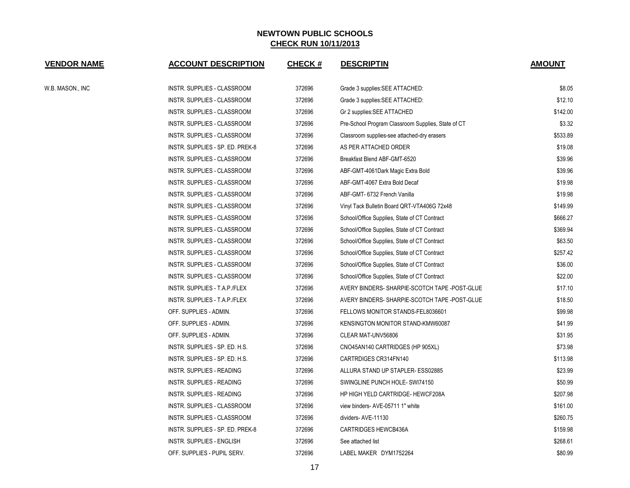| <b>VENDOR NAME</b> | <b>ACCOUNT DESCRIPTION</b>       | <b>CHECK#</b> | <b>DESCRIPTIN</b>                                  | <b>AMOUNT</b> |
|--------------------|----------------------------------|---------------|----------------------------------------------------|---------------|
| W.B. MASON., INC   | INSTR. SUPPLIES - CLASSROOM      | 372696        | Grade 3 supplies: SEE ATTACHED:                    | \$8.05        |
|                    | INSTR. SUPPLIES - CLASSROOM      | 372696        | Grade 3 supplies: SEE ATTACHED:                    | \$12.10       |
|                    | INSTR. SUPPLIES - CLASSROOM      | 372696        | Gr 2 supplies: SEE ATTACHED                        | \$142.00      |
|                    | INSTR. SUPPLIES - CLASSROOM      | 372696        | Pre-School Program Classroom Supplies, State of CT | \$3.32        |
|                    | INSTR. SUPPLIES - CLASSROOM      | 372696        | Classroom supplies-see attached-dry erasers        | \$533.89      |
|                    | INSTR. SUPPLIES - SP. ED. PREK-8 | 372696        | AS PER ATTACHED ORDER                              | \$19.08       |
|                    | INSTR. SUPPLIES - CLASSROOM      | 372696        | Breakfast Blend ABF-GMT-6520                       | \$39.96       |
|                    | INSTR. SUPPLIES - CLASSROOM      | 372696        | ABF-GMT-4061Dark Magic Extra Bold                  | \$39.96       |
|                    | INSTR. SUPPLIES - CLASSROOM      | 372696        | ABF-GMT-4067 Extra Bold Decaf                      | \$19.98       |
|                    | INSTR. SUPPLIES - CLASSROOM      | 372696        | ABF-GMT- 6732 French Vanilla                       | \$19.98       |
|                    | INSTR. SUPPLIES - CLASSROOM      | 372696        | Vinyl Tack Bulletin Board QRT-VTA406G 72x48        | \$149.99      |
|                    | INSTR. SUPPLIES - CLASSROOM      | 372696        | School/Office Supplies, State of CT Contract       | \$666.27      |
|                    | INSTR. SUPPLIES - CLASSROOM      | 372696        | School/Office Supplies, State of CT Contract       | \$369.94      |
|                    | INSTR. SUPPLIES - CLASSROOM      | 372696        | School/Office Supplies, State of CT Contract       | \$63.50       |
|                    | INSTR. SUPPLIES - CLASSROOM      | 372696        | School/Office Supplies, State of CT Contract       | \$257.42      |
|                    | INSTR. SUPPLIES - CLASSROOM      | 372696        | School/Office Supplies, State of CT Contract       | \$36.00       |
|                    | INSTR. SUPPLIES - CLASSROOM      | 372696        | School/Office Supplies, State of CT Contract       | \$22.00       |
|                    | INSTR. SUPPLIES - T.A.P./FLEX    | 372696        | AVERY BINDERS- SHARPIE-SCOTCH TAPE -POST-GLUE      | \$17.10       |
|                    | INSTR. SUPPLIES - T.A.P./FLEX    | 372696        | AVERY BINDERS- SHARPIE-SCOTCH TAPE -POST-GLUE      | \$18.50       |
|                    | OFF. SUPPLIES - ADMIN.           | 372696        | FELLOWS MONITOR STANDS-FEL8036601                  | \$99.98       |
|                    | OFF. SUPPLIES - ADMIN.           | 372696        | KENSINGTON MONITOR STAND-KMW60087                  | \$41.99       |
|                    | OFF. SUPPLIES - ADMIN.           | 372696        | CLEAR MAT-UNV56806                                 | \$31.95       |
|                    | INSTR. SUPPLIES - SP. ED. H.S.   | 372696        | CNO45AN140 CARTRIDGES (HP 905XL)                   | \$73.98       |
|                    | INSTR. SUPPLIES - SP. ED. H.S.   | 372696        | CARTRDIGES CR314FN140                              | \$113.98      |
|                    | INSTR. SUPPLIES - READING        | 372696        | ALLURA STAND UP STAPLER- ESS02885                  | \$23.99       |
|                    | <b>INSTR. SUPPLIES - READING</b> | 372696        | SWINGLINE PUNCH HOLE-SWI74150                      | \$50.99       |
|                    | INSTR. SUPPLIES - READING        | 372696        | <b>HP HIGH YELD CARTRIDGE- HEWCF208A</b>           | \$207.98      |
|                    | INSTR. SUPPLIES - CLASSROOM      | 372696        | view binders- AVE-05711 1" white                   | \$161.00      |
|                    | INSTR. SUPPLIES - CLASSROOM      | 372696        | dividers-AVE-11130                                 | \$260.75      |
|                    | INSTR. SUPPLIES - SP. ED. PREK-8 | 372696        | CARTRIDGES HEWCB436A                               | \$159.98      |
|                    | INSTR. SUPPLIES - ENGLISH        | 372696        | See attached list                                  | \$268.61      |
|                    | OFF. SUPPLIES - PUPIL SERV.      | 372696        | LABEL MAKER DYM1752264                             | \$80.99       |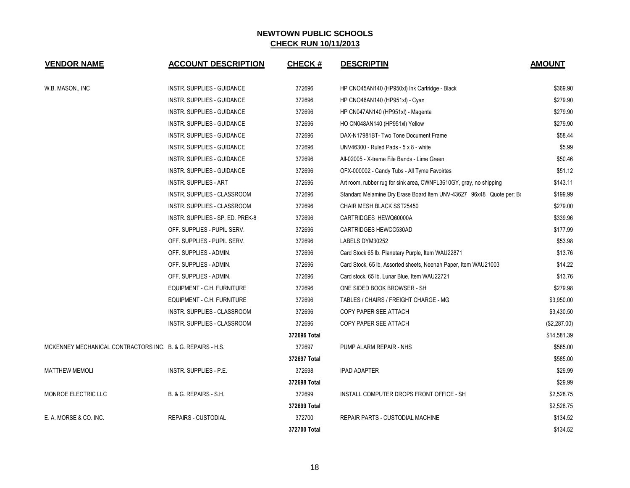| <b>VENDOR NAME</b>                                          | <b>ACCOUNT DESCRIPTION</b>        | <b>CHECK#</b> | <b>DESCRIPTIN</b>                                                     | <b>AMOUNT</b> |
|-------------------------------------------------------------|-----------------------------------|---------------|-----------------------------------------------------------------------|---------------|
| W.B. MASON., INC                                            | INSTR. SUPPLIES - GUIDANCE        | 372696        | HP CNO45AN140 (HP950xl) Ink Cartridge - Black                         | \$369.90      |
|                                                             | INSTR. SUPPLIES - GUIDANCE        | 372696        | HP CNO46AN140 (HP951xl) - Cyan                                        | \$279.90      |
|                                                             | <b>INSTR. SUPPLIES - GUIDANCE</b> | 372696        | HP CN047AN140 (HP951xl) - Magenta                                     | \$279.90      |
|                                                             | INSTR. SUPPLIES - GUIDANCE        | 372696        | HO CN048AN140 (HP951xl) Yellow                                        | \$279.90      |
|                                                             | <b>INSTR. SUPPLIES - GUIDANCE</b> | 372696        | DAX-N17981BT- Two Tone Document Frame                                 | \$58.44       |
|                                                             | INSTR. SUPPLIES - GUIDANCE        | 372696        | UNV46300 - Ruled Pads - 5 x 8 - white                                 | \$5.99        |
|                                                             | INSTR. SUPPLIES - GUIDANCE        | 372696        | All-02005 - X-treme File Bands - Lime Green                           | \$50.46       |
|                                                             | INSTR. SUPPLIES - GUIDANCE        | 372696        | OFX-000002 - Candy Tubs - All Tyme Favoirtes                          | \$51.12       |
|                                                             | <b>INSTR. SUPPLIES - ART</b>      | 372696        | Art room, rubber rug for sink area, CWNFL3610GY, gray, no shipping    | \$143.11      |
|                                                             | INSTR. SUPPLIES - CLASSROOM       | 372696        | Standard Melamine Dry Erase Board Item UNV-43627 96x48 Quote per: Box | \$199.99      |
|                                                             | INSTR. SUPPLIES - CLASSROOM       | 372696        | CHAIR MESH BLACK SST25450                                             | \$279.00      |
|                                                             | INSTR. SUPPLIES - SP. ED. PREK-8  | 372696        | CARTRIDGES HEWQ60000A                                                 | \$339.96      |
|                                                             | OFF. SUPPLIES - PUPIL SERV.       | 372696        | CARTRIDGES HEWCC530AD                                                 | \$177.99      |
|                                                             | OFF. SUPPLIES - PUPIL SERV.       | 372696        | LABELS DYM30252                                                       | \$53.98       |
|                                                             | OFF. SUPPLIES - ADMIN.            | 372696        | Card Stock 65 lb. Planetary Purple, Item WAU22871                     | \$13.76       |
|                                                             | OFF. SUPPLIES - ADMIN.            | 372696        | Card Stock, 65 lb, Assorted sheets, Neenah Paper, Item WAU21003       | \$14.22       |
|                                                             | OFF. SUPPLIES - ADMIN.            | 372696        | Card stock, 65 lb. Lunar Blue, Item WAU22721                          | \$13.76       |
|                                                             | EQUIPMENT - C.H. FURNITURE        | 372696        | ONE SIDED BOOK BROWSER - SH                                           | \$279.98      |
|                                                             | EQUIPMENT - C.H. FURNITURE        | 372696        | TABLES / CHAIRS / FREIGHT CHARGE - MG                                 | \$3,950.00    |
|                                                             | INSTR. SUPPLIES - CLASSROOM       | 372696        | COPY PAPER SEE ATTACH                                                 | \$3,430.50    |
|                                                             | INSTR. SUPPLIES - CLASSROOM       | 372696        | COPY PAPER SEE ATTACH                                                 | (\$2,287.00)  |
|                                                             |                                   | 372696 Total  |                                                                       | \$14,581.39   |
| MCKENNEY MECHANICAL CONTRACTORS INC. B. & G. REPAIRS - H.S. |                                   | 372697        | PUMP ALARM REPAIR - NHS                                               | \$585.00      |
|                                                             |                                   | 372697 Total  |                                                                       | \$585.00      |
| <b>MATTHEW MEMOLI</b>                                       | INSTR. SUPPLIES - P.E.            | 372698        | <b>IPAD ADAPTER</b>                                                   | \$29.99       |
|                                                             |                                   | 372698 Total  |                                                                       | \$29.99       |
| MONROE ELECTRIC LLC                                         | B. & G. REPAIRS - S.H.            | 372699        | INSTALL COMPUTER DROPS FRONT OFFICE - SH                              | \$2,528.75    |
|                                                             |                                   | 372699 Total  |                                                                       | \$2,528.75    |
| E. A. MORSE & CO. INC.                                      | <b>REPAIRS - CUSTODIAL</b>        | 372700        | REPAIR PARTS - CUSTODIAL MACHINE                                      | \$134.52      |
|                                                             |                                   | 372700 Total  |                                                                       | \$134.52      |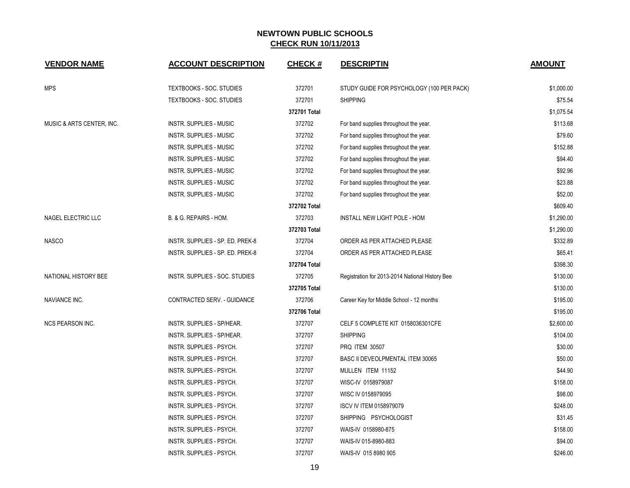| <b>VENDOR NAME</b>        | <b>ACCOUNT DESCRIPTION</b>       | <b>CHECK#</b> | <b>DESCRIPTIN</b>                               | <b>AMOUNT</b> |
|---------------------------|----------------------------------|---------------|-------------------------------------------------|---------------|
| <b>MPS</b>                | <b>TEXTBOOKS - SOC. STUDIES</b>  | 372701        | STUDY GUIDE FOR PSYCHOLOGY (100 PER PACK)       | \$1,000.00    |
|                           | TEXTBOOKS - SOC. STUDIES         | 372701        | <b>SHIPPING</b>                                 | \$75.54       |
|                           |                                  | 372701 Total  |                                                 | \$1,075.54    |
| MUSIC & ARTS CENTER, INC. | <b>INSTR. SUPPLIES - MUSIC</b>   | 372702        | For band supplies throughout the year.          | \$113.68      |
|                           | <b>INSTR. SUPPLIES - MUSIC</b>   | 372702        | For band supplies throughout the year.          | \$79.60       |
|                           | <b>INSTR. SUPPLIES - MUSIC</b>   | 372702        | For band supplies throughout the year.          | \$152.88      |
|                           | <b>INSTR. SUPPLIES - MUSIC</b>   | 372702        | For band supplies throughout the year.          | \$94.40       |
|                           | INSTR. SUPPLIES - MUSIC          | 372702        | For band supplies throughout the year.          | \$92.96       |
|                           | INSTR. SUPPLIES - MUSIC          | 372702        | For band supplies throughout the year.          | \$23.88       |
|                           | INSTR. SUPPLIES - MUSIC          | 372702        | For band supplies throughout the year.          | \$52.00       |
|                           |                                  | 372702 Total  |                                                 | \$609.40      |
| NAGEL ELECTRIC LLC        | B. & G. REPAIRS - HOM.           | 372703        | INSTALL NEW LIGHT POLE - HOM                    | \$1,290.00    |
|                           |                                  | 372703 Total  |                                                 | \$1,290.00    |
| <b>NASCO</b>              | INSTR. SUPPLIES - SP. ED. PREK-8 | 372704        | ORDER AS PER ATTACHED PLEASE                    | \$332.89      |
|                           | INSTR. SUPPLIES - SP. ED. PREK-8 | 372704        | ORDER AS PER ATTACHED PLEASE                    | \$65.41       |
|                           |                                  | 372704 Total  |                                                 | \$398.30      |
| NATIONAL HISTORY BEE      | INSTR. SUPPLIES - SOC. STUDIES   | 372705        | Registration for 2013-2014 National History Bee | \$130.00      |
|                           |                                  | 372705 Total  |                                                 | \$130.00      |
| NAVIANCE INC.             | CONTRACTED SERV. - GUIDANCE      | 372706        | Career Key for Middle School - 12 months        | \$195.00      |
|                           |                                  | 372706 Total  |                                                 | \$195.00      |
| <b>NCS PEARSON INC.</b>   | INSTR. SUPPLIES - SP/HEAR.       | 372707        | CELF 5 COMPLETE KIT 0158036301CFE               | \$2,600.00    |
|                           | INSTR. SUPPLIES - SP/HEAR.       | 372707        | <b>SHIPPING</b>                                 | \$104.00      |
|                           | INSTR. SUPPLIES - PSYCH.         | 372707        | PRQ ITEM 30507                                  | \$30.00       |
|                           | INSTR. SUPPLIES - PSYCH.         | 372707        | BASC II DEVEOLPMENTAL ITEM 30065                | \$50.00       |
|                           | INSTR. SUPPLIES - PSYCH.         | 372707        | MULLEN ITEM 11152                               | \$44.90       |
|                           | INSTR. SUPPLIES - PSYCH.         | 372707        | WISC-IV 0158979087                              | \$158.00      |
|                           | INSTR. SUPPLIES - PSYCH.         | 372707        | WISC IV 0158979095                              | \$98.00       |
|                           | INSTR. SUPPLIES - PSYCH.         | 372707        | <b>ISCV IV ITEM 0158979079</b>                  | \$248.00      |
|                           | INSTR. SUPPLIES - PSYCH.         | 372707        | SHIPPING PSYCHOLOGIST                           | \$31.45       |
|                           | INSTR. SUPPLIES - PSYCH.         | 372707        | WAIS-IV 0158980-875                             | \$158.00      |
|                           | INSTR. SUPPLIES - PSYCH.         | 372707        | WAIS-IV 015-8980-883                            | \$94.00       |
|                           | INSTR. SUPPLIES - PSYCH.         | 372707        | WAIS-IV 015 8980 905                            | \$246.00      |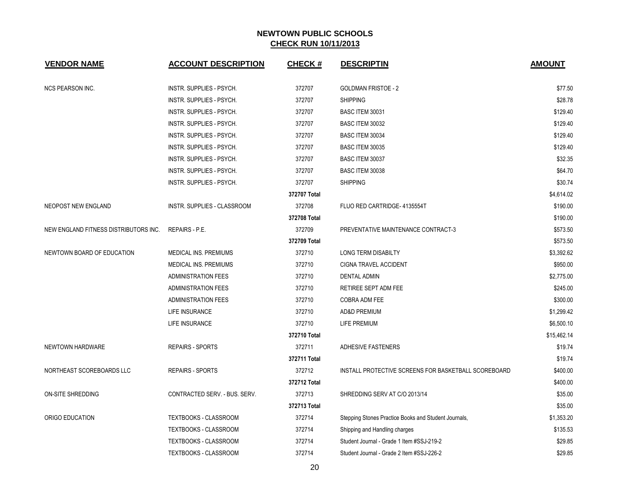| <b>VENDOR NAME</b>                    | <b>ACCOUNT DESCRIPTION</b>         | <b>CHECK#</b> | <b>DESCRIPTIN</b>                                    | <b>AMOUNT</b> |
|---------------------------------------|------------------------------------|---------------|------------------------------------------------------|---------------|
| <b>NCS PEARSON INC.</b>               | INSTR. SUPPLIES - PSYCH.           | 372707        | <b>GOLDMAN FRISTOE - 2</b>                           | \$77.50       |
|                                       | INSTR. SUPPLIES - PSYCH.           | 372707        | <b>SHIPPING</b>                                      | \$28.78       |
|                                       | INSTR. SUPPLIES - PSYCH.           | 372707        | BASC ITEM 30031                                      | \$129.40      |
|                                       | INSTR. SUPPLIES - PSYCH.           | 372707        | BASC ITEM 30032                                      | \$129.40      |
|                                       | INSTR. SUPPLIES - PSYCH.           | 372707        | <b>BASC ITEM 30034</b>                               | \$129.40      |
|                                       | INSTR. SUPPLIES - PSYCH.           | 372707        | <b>BASC ITEM 30035</b>                               | \$129.40      |
|                                       | INSTR. SUPPLIES - PSYCH.           | 372707        | <b>BASC ITEM 30037</b>                               | \$32.35       |
|                                       | INSTR. SUPPLIES - PSYCH.           | 372707        | <b>BASC ITEM 30038</b>                               | \$64.70       |
|                                       | INSTR. SUPPLIES - PSYCH.           | 372707        | <b>SHIPPING</b>                                      | \$30.74       |
|                                       |                                    | 372707 Total  |                                                      | \$4,614.02    |
| NEOPOST NEW ENGLAND                   | <b>INSTR. SUPPLIES - CLASSROOM</b> | 372708        | FLUO RED CARTRIDGE-4135554T                          | \$190.00      |
|                                       |                                    | 372708 Total  |                                                      | \$190.00      |
| NEW ENGLAND FITNESS DISTRIBUTORS INC. | <b>REPAIRS - P.E.</b>              | 372709        | PREVENTATIVE MAINTENANCE CONTRACT-3                  | \$573.50      |
|                                       |                                    | 372709 Total  |                                                      | \$573.50      |
| NEWTOWN BOARD OF EDUCATION            | MEDICAL INS. PREMIUMS              | 372710        | <b>LONG TERM DISABILTY</b>                           | \$3,392.62    |
|                                       | MEDICAL INS. PREMIUMS              | 372710        | CIGNA TRAVEL ACCIDENT                                | \$950.00      |
|                                       | <b>ADMINISTRATION FEES</b>         | 372710        | <b>DENTAL ADMIN</b>                                  | \$2,775.00    |
|                                       | <b>ADMINISTRATION FEES</b>         | 372710        | RETIREE SEPT ADM FEE                                 | \$245.00      |
|                                       | <b>ADMINISTRATION FEES</b>         | 372710        | <b>COBRA ADM FEE</b>                                 | \$300.00      |
|                                       | <b>LIFE INSURANCE</b>              | 372710        | <b>AD&amp;D PREMIUM</b>                              | \$1,299.42    |
|                                       | LIFE INSURANCE                     | 372710        | <b>LIFE PREMIUM</b>                                  | \$6,500.10    |
|                                       |                                    | 372710 Total  |                                                      | \$15,462.14   |
| NEWTOWN HARDWARE                      | <b>REPAIRS - SPORTS</b>            | 372711        | <b>ADHESIVE FASTENERS</b>                            | \$19.74       |
|                                       |                                    | 372711 Total  |                                                      | \$19.74       |
| NORTHEAST SCOREBOARDS LLC             | REPAIRS - SPORTS                   | 372712        | INSTALL PROTECTIVE SCREENS FOR BASKETBALL SCOREBOARD | \$400.00      |
|                                       |                                    | 372712 Total  |                                                      | \$400.00      |
| ON-SITE SHREDDING                     | CONTRACTED SERV. - BUS. SERV.      | 372713        | SHREDDING SERV AT C/O 2013/14                        | \$35.00       |
|                                       |                                    | 372713 Total  |                                                      | \$35.00       |
| ORIGO EDUCATION                       | TEXTBOOKS - CLASSROOM              | 372714        | Stepping Stones Practice Books and Student Journals, | \$1,353.20    |
|                                       | TEXTBOOKS - CLASSROOM              | 372714        | Shipping and Handling charges                        | \$135.53      |
|                                       | <b>TEXTBOOKS - CLASSROOM</b>       | 372714        | Student Journal - Grade 1 Item #SSJ-219-2            | \$29.85       |
|                                       | TEXTBOOKS - CLASSROOM              | 372714        | Student Journal - Grade 2 Item #SSJ-226-2            | \$29.85       |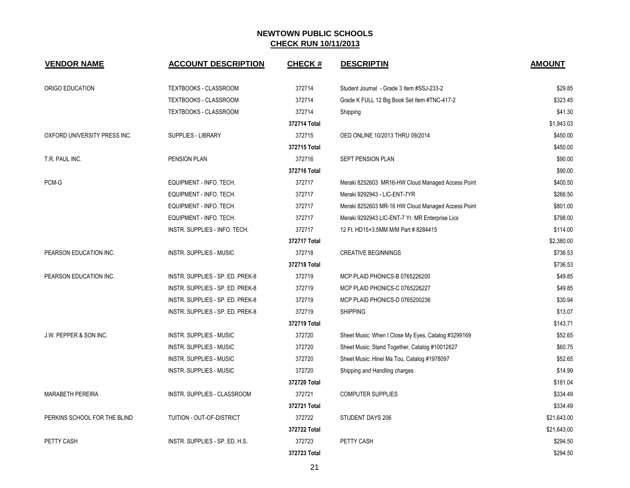| <b>VENDOR NAME</b>           | <b>ACCOUNT DESCRIPTION</b>       | <b>CHECK#</b> | <b>DESCRIPTIN</b>                                   | <b>AMOUNT</b> |
|------------------------------|----------------------------------|---------------|-----------------------------------------------------|---------------|
| ORIGO EDUCATION              | TEXTBOOKS - CLASSROOM            | 372714        | Student Journal - Grade 3 Item #SSJ-233-2           | \$29.85       |
|                              | TEXTBOOKS - CLASSROOM            | 372714        | Grade K FULL 12 Big Book Set Item #TNC-417-2        | \$323.45      |
|                              | TEXTBOOKS - CLASSROOM            | 372714        | Shipping                                            | \$41.30       |
|                              |                                  | 372714 Total  |                                                     | \$1,943.03    |
| OXFORD UNIVERSITY PRESS INC. | <b>SUPPLIES - LIBRARY</b>        | 372715        | OED ONLINE 10/2013 THRU 09/2014                     | \$450.00      |
|                              |                                  | 372715 Total  |                                                     | \$450.00      |
| T.R. PAUL INC.               | PENSION PLAN                     | 372716        | SEPT PENSION PLAN                                   | \$90.00       |
|                              |                                  | 372716 Total  |                                                     | \$90.00       |
| PCM-G                        | EQUIPMENT - INFO. TECH.          | 372717        | Meraki 8252603 MR16-HW Cloud Managed Access Point   | \$400.50      |
|                              | EQUIPMENT - INFO. TECH.          | 372717        | Meraki 9292943 - LIC-ENT-7YR                        | \$266.50      |
|                              | EQUIPMENT - INFO. TECH.          | 372717        | Meraki 8252603 MR-16 HW Cloud Managed Access Point  | \$801.00      |
|                              | EQUIPMENT - INFO. TECH.          | 372717        | Meraki 9292943 LIC-ENT-7 Yr. MR Enterprise Lics     | \$798.00      |
|                              | INSTR. SUPPLIES - INFO. TECH.    | 372717        | 12 Ft. HD15+3.5MM M/M Part # 8284415                | \$114.00      |
|                              |                                  | 372717 Total  |                                                     | \$2,380.00    |
| PEARSON EDUCATION INC.       | <b>INSTR. SUPPLIES - MUSIC</b>   | 372718        | <b>CREATIVE BEGINNINGS</b>                          | \$736.53      |
|                              |                                  | 372718 Total  |                                                     | \$736.53      |
| PEARSON EDUCATION INC.       | INSTR. SUPPLIES - SP. ED. PREK-8 | 372719        | MCP PLAID PHONICS-B 0765226200                      | \$49.85       |
|                              | INSTR. SUPPLIES - SP. ED. PREK-8 | 372719        | MCP PLAID PHONICS-C 0765226227                      | \$49.85       |
|                              | INSTR. SUPPLIES - SP. ED. PREK-8 | 372719        | MCP PLAID PHONICS-D 0765200236                      | \$30.94       |
|                              | INSTR. SUPPLIES - SP. ED. PREK-8 | 372719        | <b>SHIPPING</b>                                     | \$13.07       |
|                              |                                  | 372719 Total  |                                                     | \$143.71      |
| J.W. PEPPER & SON INC.       | <b>INSTR. SUPPLIES - MUSIC</b>   | 372720        | Sheet Music: When I Close My Eyes, Catalog #3299169 | \$52.65       |
|                              | <b>INSTR. SUPPLIES - MUSIC</b>   | 372720        | Sheet Music: Stand Together, Catalog #10012627      | \$60.75       |
|                              | <b>INSTR. SUPPLIES - MUSIC</b>   | 372720        | Sheet Music: Hinei Ma Tou, Catalog #1978097         | \$52.65       |
|                              | <b>INSTR. SUPPLIES - MUSIC</b>   | 372720        | Shipping and Handling charges                       | \$14.99       |
|                              |                                  | 372720 Total  |                                                     | \$181.04      |
| <b>MARABETH PEREIRA</b>      | INSTR. SUPPLIES - CLASSROOM      | 372721        | <b>COMPUTER SUPPLIES</b>                            | \$334.49      |
|                              |                                  | 372721 Total  |                                                     | \$334.49      |
| PERKINS SCHOOL FOR THE BLIND | TUITION - OUT-OF-DISTRICT        | 372722        | STUDENT DAYS 206                                    | \$21,643.00   |
|                              |                                  | 372722 Total  |                                                     | \$21,643.00   |
| PETTY CASH                   | INSTR. SUPPLIES - SP. ED. H.S.   | 372723        | PETTY CASH                                          | \$294.50      |
|                              |                                  | 372723 Total  |                                                     | \$294.50      |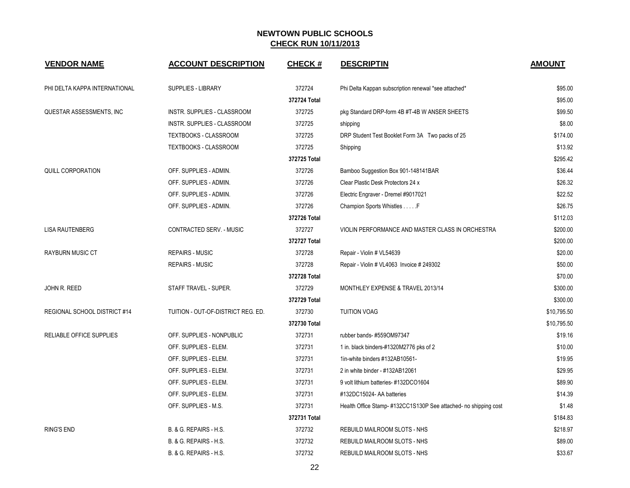| <b>VENDOR NAME</b>                  | <b>ACCOUNT DESCRIPTION</b>         | <b>CHECK#</b> | <b>DESCRIPTIN</b>                                               | <b>AMOUNT</b> |
|-------------------------------------|------------------------------------|---------------|-----------------------------------------------------------------|---------------|
| PHI DELTA KAPPA INTERNATIONAL       | <b>SUPPLIES - LIBRARY</b>          | 372724        | Phi Delta Kappan subscription renewal *see attached*            | \$95.00       |
|                                     |                                    | 372724 Total  |                                                                 | \$95.00       |
| QUESTAR ASSESSMENTS, INC            | INSTR. SUPPLIES - CLASSROOM        | 372725        | pkg Standard DRP-form 4B #T-4B W ANSER SHEETS                   | \$99.50       |
|                                     | INSTR. SUPPLIES - CLASSROOM        | 372725        | shipping                                                        | \$8.00        |
|                                     | TEXTBOOKS - CLASSROOM              | 372725        | DRP Student Test Booklet Form 3A Two packs of 25                | \$174.00      |
|                                     | TEXTBOOKS - CLASSROOM              | 372725        | Shipping                                                        | \$13.92       |
|                                     |                                    | 372725 Total  |                                                                 | \$295.42      |
| <b>QUILL CORPORATION</b>            | OFF. SUPPLIES - ADMIN.             | 372726        | Bamboo Suggestion Box 901-148141BAR                             | \$36.44       |
|                                     | OFF. SUPPLIES - ADMIN.             | 372726        | Clear Plastic Desk Protectors 24 x                              | \$26.32       |
|                                     | OFF. SUPPLIES - ADMIN.             | 372726        | Electric Engraver - Dremel #9017021                             | \$22.52       |
|                                     | OFF. SUPPLIES - ADMIN.             | 372726        | Champion Sports Whistles F                                      | \$26.75       |
|                                     |                                    | 372726 Total  |                                                                 | \$112.03      |
| <b>LISA RAUTENBERG</b>              | CONTRACTED SERV. - MUSIC           | 372727        | VIOLIN PERFORMANCE AND MASTER CLASS IN ORCHESTRA                | \$200.00      |
|                                     |                                    | 372727 Total  |                                                                 | \$200.00      |
| <b>RAYBURN MUSIC CT</b>             | <b>REPAIRS - MUSIC</b>             | 372728        | Repair - Violin # VL54639                                       | \$20.00       |
|                                     | <b>REPAIRS - MUSIC</b>             | 372728        | Repair - Violin # VL4063 Invoice # 249302                       | \$50.00       |
|                                     |                                    | 372728 Total  |                                                                 | \$70.00       |
| JOHN R. REED                        | STAFF TRAVEL - SUPER.              | 372729        | MONTHLEY EXPENSE & TRAVEL 2013/14                               | \$300.00      |
|                                     |                                    | 372729 Total  |                                                                 | \$300.00      |
| <b>REGIONAL SCHOOL DISTRICT #14</b> | TUITION - OUT-OF-DISTRICT REG. ED. | 372730        | <b>TUITION VOAG</b>                                             | \$10,795.50   |
|                                     |                                    | 372730 Total  |                                                                 | \$10,795.50   |
| RELIABLE OFFICE SUPPLIES            | OFF. SUPPLIES - NONPUBLIC          | 372731        | rubber bands-#559OM97347                                        | \$19.16       |
|                                     | OFF. SUPPLIES - ELEM.              | 372731        | 1 in. black binders-#1320M2776 pks of 2                         | \$10.00       |
|                                     | OFF. SUPPLIES - ELEM.              | 372731        | 1in-white binders #132AB10561-                                  | \$19.95       |
|                                     | OFF. SUPPLIES - ELEM.              | 372731        | 2 in white binder - #132AB12061                                 | \$29.95       |
|                                     | OFF. SUPPLIES - ELEM.              | 372731        | 9 volt lithium batteries- #132DCO1604                           | \$89.90       |
|                                     | OFF. SUPPLIES - ELEM.              | 372731        | #132DC15024- AA batteries                                       | \$14.39       |
|                                     | OFF. SUPPLIES - M.S.               | 372731        | Health Office Stamp-#132CC1S130P See attached- no shipping cost | \$1.48        |
|                                     |                                    | 372731 Total  |                                                                 | \$184.83      |
| <b>RING'S END</b>                   | B. & G. REPAIRS - H.S.             | 372732        | REBUILD MAILROOM SLOTS - NHS                                    | \$218.97      |
|                                     | B. & G. REPAIRS - H.S.             | 372732        | REBUILD MAILROOM SLOTS - NHS                                    | \$89.00       |
|                                     | B. & G. REPAIRS - H.S.             | 372732        | REBUILD MAILROOM SLOTS - NHS                                    | \$33.67       |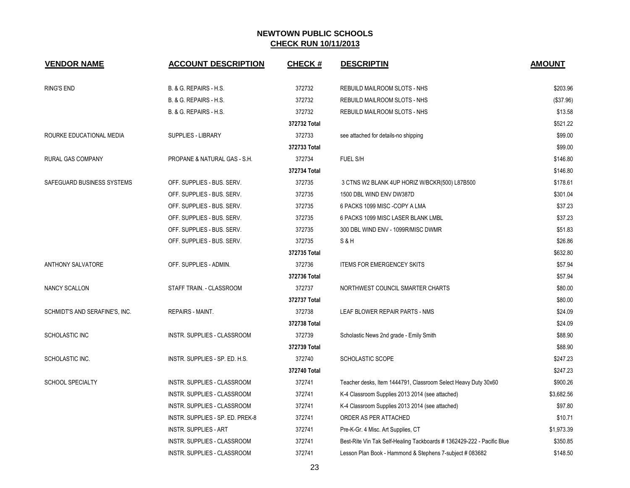| <b>VENDOR NAME</b>             | <b>ACCOUNT DESCRIPTION</b>         | <b>CHECK#</b> | <b>DESCRIPTIN</b>                                                      | <b>AMOUNT</b> |
|--------------------------------|------------------------------------|---------------|------------------------------------------------------------------------|---------------|
| <b>RING'S END</b>              | B. & G. REPAIRS - H.S.             | 372732        | REBUILD MAILROOM SLOTS - NHS                                           | \$203.96      |
|                                | B. & G. REPAIRS - H.S.             | 372732        | REBUILD MAILROOM SLOTS - NHS                                           | (\$37.96)     |
|                                | B. & G. REPAIRS - H.S.             | 372732        | REBUILD MAILROOM SLOTS - NHS                                           | \$13.58       |
|                                |                                    | 372732 Total  |                                                                        | \$521.22      |
| ROURKE EDUCATIONAL MEDIA       | <b>SUPPLIES - LIBRARY</b>          | 372733        | see attached for details-no shipping                                   | \$99.00       |
|                                |                                    | 372733 Total  |                                                                        | \$99.00       |
| RURAL GAS COMPANY              | PROPANE & NATURAL GAS - S.H.       | 372734        | FUEL S/H                                                               | \$146.80      |
|                                |                                    | 372734 Total  |                                                                        | \$146.80      |
| SAFEGUARD BUSINESS SYSTEMS     | OFF. SUPPLIES - BUS. SERV.         | 372735        | 3 CTNS W2 BLANK 4UP HORIZ W/BCKR(500) L87B500                          | \$178.61      |
|                                | OFF. SUPPLIES - BUS. SERV.         | 372735        | 1500 DBL WIND ENV DW387D                                               | \$301.04      |
|                                | OFF. SUPPLIES - BUS. SERV.         | 372735        | 6 PACKS 1099 MISC -COPY A LMA                                          | \$37.23       |
|                                | OFF. SUPPLIES - BUS. SERV.         | 372735        | 6 PACKS 1099 MISC LASER BLANK LMBL                                     | \$37.23       |
|                                | OFF. SUPPLIES - BUS. SERV.         | 372735        | 300 DBL WIND ENV - 1099R/MISC DWMR                                     | \$51.83       |
|                                | OFF. SUPPLIES - BUS. SERV.         | 372735        | S&H                                                                    | \$26.86       |
|                                |                                    | 372735 Total  |                                                                        | \$632.80      |
| ANTHONY SALVATORE              | OFF. SUPPLIES - ADMIN.             | 372736        | <b>ITEMS FOR EMERGENCEY SKITS</b>                                      | \$57.94       |
|                                |                                    | 372736 Total  |                                                                        | \$57.94       |
| NANCY SCALLON                  | STAFF TRAIN. - CLASSROOM           | 372737        | NORTHWEST COUNCIL SMARTER CHARTS                                       | \$80.00       |
|                                |                                    | 372737 Total  |                                                                        | \$80.00       |
| SCHMIDT'S AND SERAFINE'S, INC. | <b>REPAIRS - MAINT.</b>            | 372738        | LEAF BLOWER REPAIR PARTS - NMS                                         | \$24.09       |
|                                |                                    | 372738 Total  |                                                                        | \$24.09       |
| SCHOLASTIC INC                 | <b>INSTR. SUPPLIES - CLASSROOM</b> | 372739        | Scholastic News 2nd grade - Emily Smith                                | \$88.90       |
|                                |                                    | 372739 Total  |                                                                        | \$88.90       |
| SCHOLASTIC INC.                | INSTR. SUPPLIES - SP. ED. H.S.     | 372740        | <b>SCHOLASTIC SCOPE</b>                                                | \$247.23      |
|                                |                                    | 372740 Total  |                                                                        | \$247.23      |
| <b>SCHOOL SPECIALTY</b>        | INSTR. SUPPLIES - CLASSROOM        | 372741        | Teacher desks, Item 1444791, Classroom Select Heavy Duty 30x60         | \$900.26      |
|                                | INSTR. SUPPLIES - CLASSROOM        | 372741        | K-4 Classroom Supplies 2013 2014 (see attached)                        | \$3,682.56    |
|                                | INSTR. SUPPLIES - CLASSROOM        | 372741        | K-4 Classroom Supplies 2013 2014 (see attached)                        | \$97.80       |
|                                | INSTR. SUPPLIES - SP. ED. PREK-8   | 372741        | ORDER AS PER ATTACHED                                                  | \$10.71       |
|                                | <b>INSTR. SUPPLIES - ART</b>       | 372741        | Pre-K-Gr. 4 Misc. Art Supplies, CT                                     | \$1,973.39    |
|                                | INSTR. SUPPLIES - CLASSROOM        | 372741        | Best-Rite Vin Tak Self-Healing Tackboards # 1362429-222 - Pacific Blue | \$350.85      |
|                                | INSTR. SUPPLIES - CLASSROOM        | 372741        | Lesson Plan Book - Hammond & Stephens 7-subject # 083682               | \$148.50      |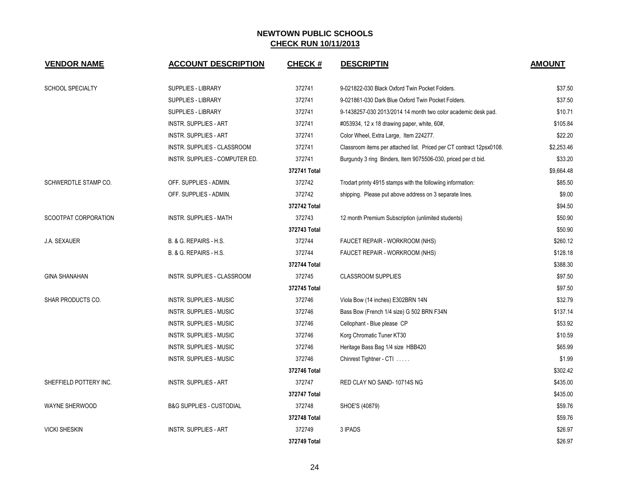| <b>VENDOR NAME</b>      | <b>ACCOUNT DESCRIPTION</b>          | <b>CHECK#</b> | <b>DESCRIPTIN</b>                                                    | <b>AMOUNT</b> |
|-------------------------|-------------------------------------|---------------|----------------------------------------------------------------------|---------------|
| <b>SCHOOL SPECIALTY</b> | SUPPLIES - LIBRARY                  | 372741        | 9-021822-030 Black Oxford Twin Pocket Folders.                       | \$37.50       |
|                         | SUPPLIES - LIBRARY                  | 372741        | 9-021861-030 Dark Blue Oxford Twin Pocket Folders.                   | \$37.50       |
|                         | SUPPLIES - LIBRARY                  | 372741        | 9-1438257-030 2013/2014 14 month two color academic desk pad.        | \$10.71       |
|                         | <b>INSTR. SUPPLIES - ART</b>        | 372741        | #053934, 12 x 18 drawing paper, white, 60#,                          | \$105.84      |
|                         | <b>INSTR. SUPPLIES - ART</b>        | 372741        | Color Wheel, Extra Large, Item 224277.                               | \$22.20       |
|                         | INSTR. SUPPLIES - CLASSROOM         | 372741        | Classroom items per attached list. Priced per CT contract 12psx0108. | \$2,253.46    |
|                         | INSTR. SUPPLIES - COMPUTER ED.      | 372741        | Burgundy 3 ring Binders, Item 9075506-030, priced per ct bid.        | \$33.20       |
|                         |                                     | 372741 Total  |                                                                      | \$9,664.48    |
| SCHWERDTLE STAMP CO.    | OFF. SUPPLIES - ADMIN.              | 372742        | Trodart printy 4915 stamps with the followiing information:          | \$85.50       |
|                         | OFF. SUPPLIES - ADMIN.              | 372742        | shipping. Please put above address on 3 separate lines.              | \$9.00        |
|                         |                                     | 372742 Total  |                                                                      | \$94.50       |
| SCOOTPAT CORPORATION    | <b>INSTR. SUPPLIES - MATH</b>       | 372743        | 12 month Premium Subscription (unlimited students)                   | \$50.90       |
|                         |                                     | 372743 Total  |                                                                      | \$50.90       |
| <b>J.A. SEXAUER</b>     | B. & G. REPAIRS - H.S.              | 372744        | FAUCET REPAIR - WORKROOM (NHS)                                       | \$260.12      |
|                         | B. & G. REPAIRS - H.S.              | 372744        | FAUCET REPAIR - WORKROOM (NHS)                                       | \$128.18      |
|                         |                                     | 372744 Total  |                                                                      | \$388.30      |
| <b>GINA SHANAHAN</b>    | INSTR. SUPPLIES - CLASSROOM         | 372745        | <b>CLASSROOM SUPPLIES</b>                                            | \$97.50       |
|                         |                                     | 372745 Total  |                                                                      | \$97.50       |
| SHAR PRODUCTS CO.       | <b>INSTR. SUPPLIES - MUSIC</b>      | 372746        | Viola Bow (14 inches) E302BRN 14N                                    | \$32.79       |
|                         | <b>INSTR. SUPPLIES - MUSIC</b>      | 372746        | Bass Bow (French 1/4 size) G 502 BRN F34N                            | \$137.14      |
|                         | <b>INSTR. SUPPLIES - MUSIC</b>      | 372746        | Cellophant - Blue please CP                                          | \$53.92       |
|                         | <b>INSTR. SUPPLIES - MUSIC</b>      | 372746        | Korg Chromatic Tuner KT30                                            | \$10.59       |
|                         | <b>INSTR. SUPPLIES - MUSIC</b>      | 372746        | Heritage Bass Bag 1/4 size HBB420                                    | \$65.99       |
|                         | INSTR. SUPPLIES - MUSIC             | 372746        | Chinrest Tightner - CTI                                              | \$1.99        |
|                         |                                     | 372746 Total  |                                                                      | \$302.42      |
| SHEFFIELD POTTERY INC.  | <b>INSTR. SUPPLIES - ART</b>        | 372747        | RED CLAY NO SAND-10714S NG                                           | \$435.00      |
|                         |                                     | 372747 Total  |                                                                      | \$435.00      |
| WAYNE SHERWOOD          | <b>B&amp;G SUPPLIES - CUSTODIAL</b> | 372748        | SHOE'S (40879)                                                       | \$59.76       |
|                         |                                     | 372748 Total  |                                                                      | \$59.76       |
| <b>VICKI SHESKIN</b>    | <b>INSTR. SUPPLIES - ART</b>        | 372749        | 3 IPADS                                                              | \$26.97       |
|                         |                                     | 372749 Total  |                                                                      | \$26.97       |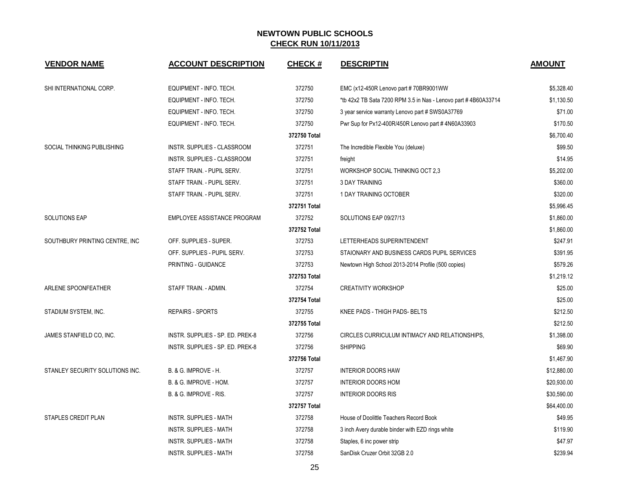| <b>VENDOR NAME</b>              | <b>ACCOUNT DESCRIPTION</b>         | <b>CHECK#</b> | <b>DESCRIPTIN</b>                                              | <b>AMOUNT</b> |
|---------------------------------|------------------------------------|---------------|----------------------------------------------------------------|---------------|
| SHI INTERNATIONAL CORP.         | EQUIPMENT - INFO. TECH.            | 372750        | EMC (x12-450R Lenovo part #70BR9001WW                          | \$5,328.40    |
|                                 | EQUIPMENT - INFO. TECH.            | 372750        | *tb 42x2 TB Sata 7200 RPM 3.5 in Nas - Lenovo part #4B60A33714 | \$1,130.50    |
|                                 | EQUIPMENT - INFO. TECH.            | 372750        | 3 year service warranty Lenovo part # SWS0A37769               | \$71.00       |
|                                 | EQUIPMENT - INFO. TECH.            | 372750        | Pwr Sup for Px12-400R/450R Lenovo part #4N60A33903             | \$170.50      |
|                                 |                                    | 372750 Total  |                                                                | \$6,700.40    |
| SOCIAL THINKING PUBLISHING      | INSTR. SUPPLIES - CLASSROOM        | 372751        | The Incredible Flexible You (deluxe)                           | \$99.50       |
|                                 | INSTR. SUPPLIES - CLASSROOM        | 372751        | freight                                                        | \$14.95       |
|                                 | STAFF TRAIN. - PUPIL SERV.         | 372751        | WORKSHOP SOCIAL THINKING OCT 2,3                               | \$5,202.00    |
|                                 | STAFF TRAIN. - PUPIL SERV.         | 372751        | <b>3 DAY TRAINING</b>                                          | \$360.00      |
|                                 | STAFF TRAIN. - PUPIL SERV.         | 372751        | 1 DAY TRAINING OCTOBER                                         | \$320.00      |
|                                 |                                    | 372751 Total  |                                                                | \$5,996.45    |
| <b>SOLUTIONS EAP</b>            | <b>EMPLOYEE ASSISTANCE PROGRAM</b> | 372752        | SOLUTIONS EAP 09/27/13                                         | \$1,860.00    |
|                                 |                                    | 372752 Total  |                                                                | \$1,860.00    |
| SOUTHBURY PRINTING CENTRE, INC. | OFF. SUPPLIES - SUPER.             | 372753        | LETTERHEADS SUPERINTENDENT                                     | \$247.91      |
|                                 | OFF. SUPPLIES - PUPIL SERV.        | 372753        | STAIONARY AND BUSINESS CARDS PUPIL SERVICES                    | \$391.95      |
|                                 | PRINTING - GUIDANCE                | 372753        | Newtown High School 2013-2014 Profile (500 copies)             | \$579.26      |
|                                 |                                    | 372753 Total  |                                                                | \$1,219.12    |
| ARLENE SPOONFEATHER             | STAFF TRAIN. - ADMIN.              | 372754        | <b>CREATIVITY WORKSHOP</b>                                     | \$25.00       |
|                                 |                                    | 372754 Total  |                                                                | \$25.00       |
| STADIUM SYSTEM, INC.            | <b>REPAIRS - SPORTS</b>            | 372755        | KNEE PADS - THIGH PADS- BELTS                                  | \$212.50      |
|                                 |                                    | 372755 Total  |                                                                | \$212.50      |
| JAMES STANFIELD CO, INC.        | INSTR. SUPPLIES - SP. ED. PREK-8   | 372756        | CIRCLES CURRICULUM INTIMACY AND RELATIONSHIPS,                 | \$1,398.00    |
|                                 | INSTR. SUPPLIES - SP. ED. PREK-8   | 372756        | <b>SHIPPING</b>                                                | \$69.90       |
|                                 |                                    | 372756 Total  |                                                                | \$1,467.90    |
| STANLEY SECURITY SOLUTIONS INC. | B. & G. IMPROVE - H.               | 372757        | <b>INTERIOR DOORS HAW</b>                                      | \$12,880.00   |
|                                 | B. & G. IMPROVE - HOM.             | 372757        | <b>INTERIOR DOORS HOM</b>                                      | \$20,930.00   |
|                                 | B. & G. IMPROVE - RIS.             | 372757        | <b>INTERIOR DOORS RIS</b>                                      | \$30,590.00   |
|                                 |                                    | 372757 Total  |                                                                | \$64,400.00   |
| STAPLES CREDIT PLAN             | <b>INSTR. SUPPLIES - MATH</b>      | 372758        | House of Doolittle Teachers Record Book                        | \$49.95       |
|                                 | <b>INSTR. SUPPLIES - MATH</b>      | 372758        | 3 inch Avery durable binder with EZD rings white               | \$119.90      |
|                                 | <b>INSTR. SUPPLIES - MATH</b>      | 372758        | Staples, 6 inc power strip                                     | \$47.97       |
|                                 | <b>INSTR. SUPPLIES - MATH</b>      | 372758        | SanDisk Cruzer Orbit 32GB 2.0                                  | \$239.94      |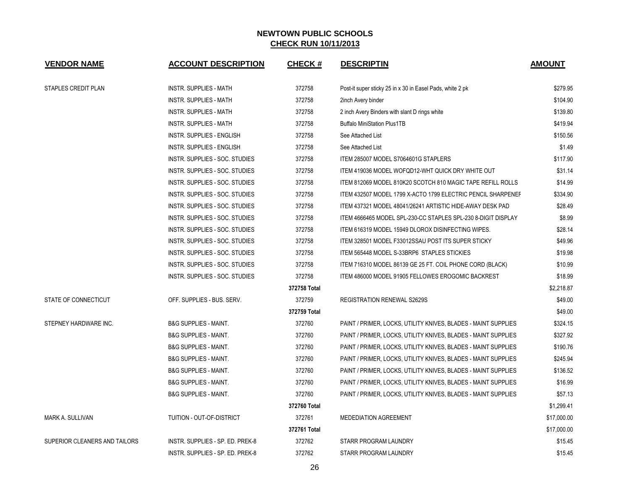| <b>VENDOR NAME</b>            | <b>ACCOUNT DESCRIPTION</b>       | <b>CHECK#</b> | <b>DESCRIPTIN</b>                                              | <b>AMOUNT</b> |
|-------------------------------|----------------------------------|---------------|----------------------------------------------------------------|---------------|
| STAPLES CREDIT PLAN           | INSTR. SUPPLIES - MATH           | 372758        | Post-it super sticky 25 in x 30 in Easel Pads, white 2 pk      | \$279.95      |
|                               | <b>INSTR. SUPPLIES - MATH</b>    | 372758        | 2inch Avery binder                                             | \$104.90      |
|                               | <b>INSTR. SUPPLIES - MATH</b>    | 372758        | 2 inch Avery Binders with slant D rings white                  | \$139.80      |
|                               | <b>INSTR. SUPPLIES - MATH</b>    | 372758        | <b>Buffalo MiniStation Plus1TB</b>                             | \$419.94      |
|                               | INSTR. SUPPLIES - ENGLISH        | 372758        | See Attached List                                              | \$150.56      |
|                               | INSTR. SUPPLIES - ENGLISH        | 372758        | See Attached List                                              | \$1.49        |
|                               | INSTR. SUPPLIES - SOC. STUDIES   | 372758        | ITEM 285007 MODEL S7064601G STAPLERS                           | \$117.90      |
|                               | INSTR. SUPPLIES - SOC. STUDIES   | 372758        | ITEM 419036 MODEL WOFQD12-WHT QUICK DRY WHITE OUT              | \$31.14       |
|                               | INSTR. SUPPLIES - SOC. STUDIES   | 372758        | ITEM 812069 MODEL 810K20 SCOTCH 810 MAGIC TAPE REFILL ROLLS    | \$14.99       |
|                               | INSTR. SUPPLIES - SOC. STUDIES   | 372758        | ITEM 432507 MODEL 1799 X-ACTO 1799 ELECTRIC PENCIL SHARPENEF   | \$334.90      |
|                               | INSTR. SUPPLIES - SOC. STUDIES   | 372758        | ITEM 437321 MODEL 48041/26241 ARTISTIC HIDE-AWAY DESK PAD      | \$28.49       |
|                               | INSTR. SUPPLIES - SOC. STUDIES   | 372758        | ITEM 4666465 MODEL SPL-230-CC STAPLES SPL-230 8-DIGIT DISPLAY  | \$8.99        |
|                               | INSTR. SUPPLIES - SOC. STUDIES   | 372758        | ITEM 616319 MODEL 15949 DLOROX DISINFECTING WIPES.             | \$28.14       |
|                               | INSTR. SUPPLIES - SOC. STUDIES   | 372758        | ITEM 328501 MODEL F33012SSAU POST ITS SUPER STICKY             | \$49.96       |
|                               | INSTR. SUPPLIES - SOC. STUDIES   | 372758        | ITEM 565448 MODEL S-33BRP6 STAPLES STICKIES                    | \$19.98       |
|                               | INSTR. SUPPLIES - SOC. STUDIES   | 372758        | ITEM 716310 MODEL 86139 GE 25 FT. COIL PHONE CORD (BLACK)      | \$10.99       |
|                               | INSTR. SUPPLIES - SOC. STUDIES   | 372758        | ITEM 486000 MODEL 91905 FELLOWES EROGOMIC BACKREST             | \$18.99       |
|                               |                                  | 372758 Total  |                                                                | \$2,218.87    |
| STATE OF CONNECTICUT          | OFF. SUPPLIES - BUS. SERV.       | 372759        | <b>REGISTRATION RENEWAL S2629S</b>                             | \$49.00       |
|                               |                                  | 372759 Total  |                                                                | \$49.00       |
| STEPNEY HARDWARE INC.         | <b>B&amp;G SUPPLIES - MAINT.</b> | 372760        | PAINT / PRIMER, LOCKS, UTILITY KNIVES, BLADES - MAINT SUPPLIES | \$324.15      |
|                               | <b>B&amp;G SUPPLIES - MAINT.</b> | 372760        | PAINT / PRIMER, LOCKS, UTILITY KNIVES, BLADES - MAINT SUPPLIES | \$327.92      |
|                               | <b>B&amp;G SUPPLIES - MAINT.</b> | 372760        | PAINT / PRIMER, LOCKS, UTILITY KNIVES, BLADES - MAINT SUPPLIES | \$190.76      |
|                               | <b>B&amp;G SUPPLIES - MAINT.</b> | 372760        | PAINT / PRIMER, LOCKS, UTILITY KNIVES, BLADES - MAINT SUPPLIES | \$245.94      |
|                               | <b>B&amp;G SUPPLIES - MAINT.</b> | 372760        | PAINT / PRIMER, LOCKS, UTILITY KNIVES, BLADES - MAINT SUPPLIES | \$136.52      |
|                               | <b>B&amp;G SUPPLIES - MAINT.</b> | 372760        | PAINT / PRIMER, LOCKS, UTILITY KNIVES, BLADES - MAINT SUPPLIES | \$16.99       |
|                               | <b>B&amp;G SUPPLIES - MAINT.</b> | 372760        | PAINT / PRIMER, LOCKS, UTILITY KNIVES, BLADES - MAINT SUPPLIES | \$57.13       |
|                               |                                  | 372760 Total  |                                                                | \$1,299.41    |
| MARK A. SULLIVAN              | TUITION - OUT-OF-DISTRICT        | 372761        | <b>MEDEDIATION AGREEMENT</b>                                   | \$17,000.00   |
|                               |                                  | 372761 Total  |                                                                | \$17,000.00   |
| SUPERIOR CLEANERS AND TAILORS | INSTR. SUPPLIES - SP. ED. PREK-8 | 372762        | STARR PROGRAM LAUNDRY                                          | \$15.45       |
|                               | INSTR. SUPPLIES - SP. ED. PREK-8 | 372762        | STARR PROGRAM LAUNDRY                                          | \$15.45       |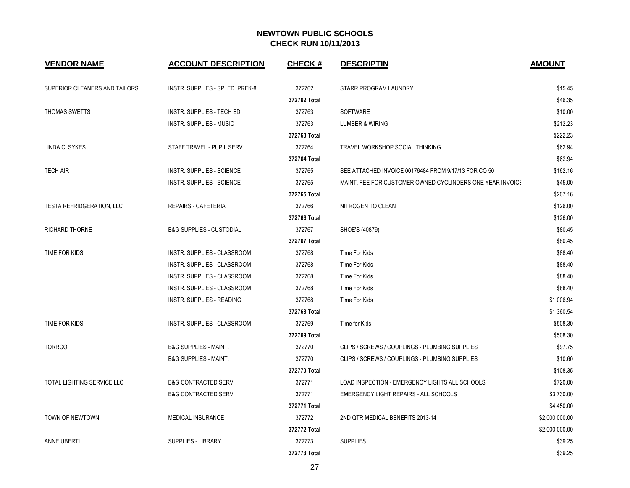| <b>VENDOR NAME</b>                | <b>ACCOUNT DESCRIPTION</b>          | <b>CHECK#</b> | <b>DESCRIPTIN</b>                                         | <b>AMOUNT</b>  |
|-----------------------------------|-------------------------------------|---------------|-----------------------------------------------------------|----------------|
| SUPERIOR CLEANERS AND TAILORS     | INSTR. SUPPLIES - SP. ED. PREK-8    | 372762        | STARR PROGRAM LAUNDRY                                     | \$15.45        |
|                                   |                                     | 372762 Total  |                                                           | \$46.35        |
| THOMAS SWETTS                     | INSTR. SUPPLIES - TECH ED.          | 372763        | <b>SOFTWARE</b>                                           | \$10.00        |
|                                   | <b>INSTR. SUPPLIES - MUSIC</b>      | 372763        | LUMBER & WIRING                                           | \$212.23       |
|                                   |                                     | 372763 Total  |                                                           | \$222.23       |
| LINDA C. SYKES                    | STAFF TRAVEL - PUPIL SERV.          | 372764        | TRAVEL WORKSHOP SOCIAL THINKING                           | \$62.94        |
|                                   |                                     | 372764 Total  |                                                           | \$62.94        |
| <b>TECH AIR</b>                   | <b>INSTR. SUPPLIES - SCIENCE</b>    | 372765        | SEE ATTACHED INVOICE 00176484 FROM 9/17/13 FOR CO 50      | \$162.16       |
|                                   | INSTR. SUPPLIES - SCIENCE           | 372765        | MAINT. FEE FOR CUSTOMER OWNED CYCLINDERS ONE YEAR INVOICE | \$45.00        |
|                                   |                                     | 372765 Total  |                                                           | \$207.16       |
| <b>TESTA REFRIDGERATION, LLC</b>  | REPAIRS - CAFETERIA                 | 372766        | NITROGEN TO CLEAN                                         | \$126.00       |
|                                   |                                     | 372766 Total  |                                                           | \$126.00       |
| <b>RICHARD THORNE</b>             | <b>B&amp;G SUPPLIES - CUSTODIAL</b> | 372767        | SHOE'S (40879)                                            | \$80.45        |
|                                   |                                     | 372767 Total  |                                                           | \$80.45        |
| TIME FOR KIDS                     | <b>INSTR. SUPPLIES - CLASSROOM</b>  | 372768        | Time For Kids                                             | \$88.40        |
|                                   | INSTR. SUPPLIES - CLASSROOM         | 372768        | Time For Kids                                             | \$88.40        |
|                                   | INSTR. SUPPLIES - CLASSROOM         | 372768        | Time For Kids                                             | \$88.40        |
|                                   | INSTR. SUPPLIES - CLASSROOM         | 372768        | Time For Kids                                             | \$88.40        |
|                                   | <b>INSTR. SUPPLIES - READING</b>    | 372768        | Time For Kids                                             | \$1,006.94     |
|                                   |                                     | 372768 Total  |                                                           | \$1,360.54     |
| <b>TIME FOR KIDS</b>              | <b>INSTR. SUPPLIES - CLASSROOM</b>  | 372769        | Time for Kids                                             | \$508.30       |
|                                   |                                     | 372769 Total  |                                                           | \$508.30       |
| <b>TORRCO</b>                     | <b>B&amp;G SUPPLIES - MAINT.</b>    | 372770        | CLIPS / SCREWS / COUPLINGS - PLUMBING SUPPLIES            | \$97.75        |
|                                   | <b>B&amp;G SUPPLIES - MAINT.</b>    | 372770        | CLIPS / SCREWS / COUPLINGS - PLUMBING SUPPLIES            | \$10.60        |
|                                   |                                     | 372770 Total  |                                                           | \$108.35       |
| <b>TOTAL LIGHTING SERVICE LLC</b> | <b>B&amp;G CONTRACTED SERV.</b>     | 372771        | LOAD INSPECTION - EMERGENCY LIGHTS ALL SCHOOLS            | \$720.00       |
|                                   | <b>B&amp;G CONTRACTED SERV.</b>     | 372771        | EMERGENCY LIGHT REPAIRS - ALL SCHOOLS                     | \$3,730.00     |
|                                   |                                     | 372771 Total  |                                                           | \$4,450.00     |
| <b>TOWN OF NEWTOWN</b>            | <b>MEDICAL INSURANCE</b>            | 372772        | 2ND QTR MEDICAL BENEFITS 2013-14                          | \$2,000,000.00 |
|                                   |                                     | 372772 Total  |                                                           | \$2,000,000.00 |
| <b>ANNE UBERTI</b>                | <b>SUPPLIES - LIBRARY</b>           | 372773        | <b>SUPPLIES</b>                                           | \$39.25        |
|                                   |                                     | 372773 Total  |                                                           | \$39.25        |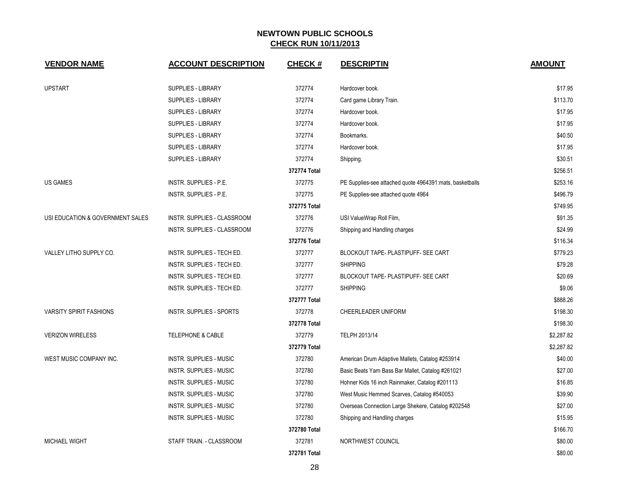| <b>VENDOR NAME</b>               | <b>ACCOUNT DESCRIPTION</b>      | <b>CHECK#</b> | <b>DESCRIPTIN</b>                                         | <b>AMOUNT</b> |
|----------------------------------|---------------------------------|---------------|-----------------------------------------------------------|---------------|
| <b>UPSTART</b>                   | <b>SUPPLIES - LIBRARY</b>       | 372774        | Hardcover book.                                           | \$17.95       |
|                                  | SUPPLIES - LIBRARY              | 372774        | Card game Library Train.                                  | \$113.70      |
|                                  | SUPPLIES - LIBRARY              | 372774        | Hardcover book.                                           | \$17.95       |
|                                  | SUPPLIES - LIBRARY              | 372774        | Hardcover book.                                           | \$17.95       |
|                                  | SUPPLIES - LIBRARY              | 372774        | Bookmarks.                                                | \$40.50       |
|                                  | SUPPLIES - LIBRARY              | 372774        | Hardcover book.                                           | \$17.95       |
|                                  | SUPPLIES - LIBRARY              | 372774        | Shipping.                                                 | \$30.51       |
|                                  |                                 | 372774 Total  |                                                           | \$256.51      |
| <b>US GAMES</b>                  | INSTR. SUPPLIES - P.E.          | 372775        | PE Supplies-see attached quote 4964391: mats, basketballs | \$253.16      |
|                                  | INSTR. SUPPLIES - P.E.          | 372775        | PE Supplies-see attached quote 4964                       | \$496.79      |
|                                  |                                 | 372775 Total  |                                                           | \$749.95      |
| USI EDUCATION & GOVERNMENT SALES | INSTR. SUPPLIES - CLASSROOM     | 372776        | USI ValueWrap Roll Film,                                  | \$91.35       |
|                                  | INSTR. SUPPLIES - CLASSROOM     | 372776        | Shipping and Handling charges                             | \$24.99       |
|                                  |                                 | 372776 Total  |                                                           | \$116.34      |
| VALLEY LITHO SUPPLY CO.          | INSTR. SUPPLIES - TECH ED.      | 372777        | BLOCKOUT TAPE- PLASTIPUFF- SEE CART                       | \$779.23      |
|                                  | INSTR. SUPPLIES - TECH ED.      | 372777        | <b>SHIPPING</b>                                           | \$79.28       |
|                                  | INSTR. SUPPLIES - TECH ED.      | 372777        | BLOCKOUT TAPE- PLASTIPUFF- SEE CART                       | \$20.69       |
|                                  | INSTR. SUPPLIES - TECH ED.      | 372777        | <b>SHIPPING</b>                                           | \$9.06        |
|                                  |                                 | 372777 Total  |                                                           | \$888.26      |
| <b>VARSITY SPIRIT FASHIONS</b>   | <b>INSTR. SUPPLIES - SPORTS</b> | 372778        | CHEERLEADER UNIFORM                                       | \$198.30      |
|                                  |                                 | 372778 Total  |                                                           | \$198.30      |
| <b>VERIZON WIRELESS</b>          | <b>TELEPHONE &amp; CABLE</b>    | 372779        | TELPH 2013/14                                             | \$2,287.82    |
|                                  |                                 | 372779 Total  |                                                           | \$2,287.82    |
| WEST MUSIC COMPANY INC.          | <b>INSTR. SUPPLIES - MUSIC</b>  | 372780        | American Drum Adaptive Mallets, Catalog #253914           | \$40.00       |
|                                  | <b>INSTR. SUPPLIES - MUSIC</b>  | 372780        | Basic Beats Yarn Bass Bar Mallet, Catalog #261021         | \$27.00       |
|                                  | <b>INSTR. SUPPLIES - MUSIC</b>  | 372780        | Hohner Kids 16 inch Rainmaker, Catalog #201113            | \$16.85       |
|                                  | <b>INSTR. SUPPLIES - MUSIC</b>  | 372780        | West Music Hemmed Scarves, Catalog #540053                | \$39.90       |
|                                  | <b>INSTR. SUPPLIES - MUSIC</b>  | 372780        | Overseas Connection Large Shekere, Catalog #202548        | \$27.00       |
|                                  | <b>INSTR. SUPPLIES - MUSIC</b>  | 372780        | Shipping and Handling charges                             | \$15.95       |
|                                  |                                 | 372780 Total  |                                                           | \$166.70      |
| <b>MICHAEL WIGHT</b>             | STAFF TRAIN. - CLASSROOM        | 372781        | NORTHWEST COUNCIL                                         | \$80.00       |
|                                  |                                 | 372781 Total  |                                                           | \$80.00       |